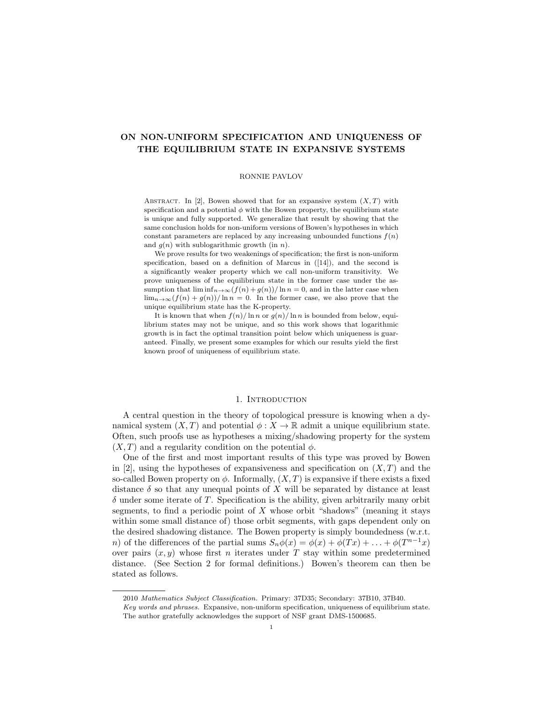# ON NON-UNIFORM SPECIFICATION AND UNIQUENESS OF THE EQUILIBRIUM STATE IN EXPANSIVE SYSTEMS

### RONNIE PAVLOV

ABSTRACT. In [2], Bowen showed that for an expansive system  $(X, T)$  with specification and a potential  $\phi$  with the Bowen property, the equilibrium state is unique and fully supported. We generalize that result by showing that the same conclusion holds for non-uniform versions of Bowen's hypotheses in which constant parameters are replaced by any increasing unbounded functions  $f(n)$ and  $g(n)$  with sublogarithmic growth (in n).

We prove results for two weakenings of specification; the first is non-uniform specification, based on a definition of Marcus in ([14]), and the second is a significantly weaker property which we call non-uniform transitivity. We prove uniqueness of the equilibrium state in the former case under the assumption that  $\liminf_{n\to\infty}(f(n)+g(n))/\ln n=0$ , and in the latter case when  $\lim_{n\to\infty}(f(n)+g(n))/\ln n=0$ . In the former case, we also prove that the unique equilibrium state has the K-property.

It is known that when  $f(n)/\ln n$  or  $g(n)/\ln n$  is bounded from below, equilibrium states may not be unique, and so this work shows that logarithmic growth is in fact the optimal transition point below which uniqueness is guaranteed. Finally, we present some examples for which our results yield the first known proof of uniqueness of equilibrium state.

### 1. INTRODUCTION

A central question in the theory of topological pressure is knowing when a dynamical system  $(X, T)$  and potential  $\phi: X \to \mathbb{R}$  admit a unique equilibrium state. Often, such proofs use as hypotheses a mixing/shadowing property for the system  $(X, T)$  and a regularity condition on the potential  $\phi$ .

One of the first and most important results of this type was proved by Bowen in [2], using the hypotheses of expansiveness and specification on  $(X, T)$  and the so-called Bowen property on  $\phi$ . Informally,  $(X, T)$  is expansive if there exists a fixed distance  $\delta$  so that any unequal points of X will be separated by distance at least  $\delta$  under some iterate of T. Specification is the ability, given arbitrarily many orbit segments, to find a periodic point of  $X$  whose orbit "shadows" (meaning it stays within some small distance of) those orbit segments, with gaps dependent only on the desired shadowing distance. The Bowen property is simply boundedness (w.r.t. *n*) of the differences of the partial sums  $S_n \phi(x) = \phi(x) + \phi(Tx) + \ldots + \phi(T^{n-1}x)$ over pairs  $(x, y)$  whose first n iterates under T stay within some predetermined distance. (See Section 2 for formal definitions.) Bowen's theorem can then be stated as follows.

<sup>2010</sup> Mathematics Subject Classification. Primary: 37D35; Secondary: 37B10, 37B40.

Key words and phrases. Expansive, non-uniform specification, uniqueness of equilibrium state. The author gratefully acknowledges the support of NSF grant DMS-1500685.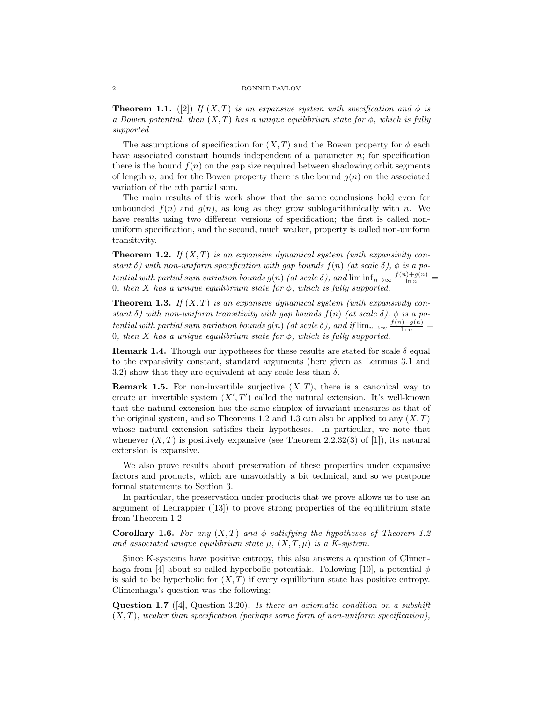**Theorem 1.1.** ([2]) If  $(X, T)$  is an expansive system with specification and  $\phi$  is a Bowen potential, then  $(X, T)$  has a unique equilibrium state for  $\phi$ , which is fully supported.

The assumptions of specification for  $(X, T)$  and the Bowen property for  $\phi$  each have associated constant bounds independent of a parameter  $n$ ; for specification there is the bound  $f(n)$  on the gap size required between shadowing orbit segments of length n, and for the Bowen property there is the bound  $q(n)$  on the associated variation of the nth partial sum.

The main results of this work show that the same conclusions hold even for unbounded  $f(n)$  and  $g(n)$ , as long as they grow sublogarithmically with n. We have results using two different versions of specification; the first is called nonuniform specification, and the second, much weaker, property is called non-uniform transitivity.

**Theorem 1.2.** If  $(X, T)$  is an expansive dynamical system (with expansivity constant  $\delta$ ) with non-uniform specification with gap bounds  $f(n)$  (at scale  $\delta$ ),  $\phi$  is a potential with partial sum variation bounds  $g(n)$  (at scale  $\delta$ ), and  $\liminf_{n\to\infty} \frac{f(n)+g(n)}{\ln n}$ 0, then X has a unique equilibrium state for  $\phi$ , which is fully supported.

**Theorem 1.3.** If  $(X, T)$  is an expansive dynamical system (with expansivity constant  $\delta$ ) with non-uniform transitivity with gap bounds  $f(n)$  (at scale  $\delta$ ),  $\phi$  is a potential with partial sum variation bounds  $g(n)$  (at scale  $\delta$ ), and if  $\lim_{n\to\infty} \frac{f(n)+g(n)}{\ln n}$ 0, then X has a unique equilibrium state for  $\phi$ , which is fully supported.

**Remark 1.4.** Though our hypotheses for these results are stated for scale  $\delta$  equal to the expansivity constant, standard arguments (here given as Lemmas 3.1 and 3.2) show that they are equivalent at any scale less than  $\delta$ .

**Remark 1.5.** For non-invertible surjective  $(X, T)$ , there is a canonical way to create an invertible system  $(X', T')$  called the natural extension. It's well-known that the natural extension has the same simplex of invariant measures as that of the original system, and so Theorems 1.2 and 1.3 can also be applied to any  $(X, T)$ whose natural extension satisfies their hypotheses. In particular, we note that whenever  $(X, T)$  is positively expansive (see Theorem 2.2.32(3) of [1]), its natural extension is expansive.

We also prove results about preservation of these properties under expansive factors and products, which are unavoidably a bit technical, and so we postpone formal statements to Section 3.

In particular, the preservation under products that we prove allows us to use an argument of Ledrappier ([13]) to prove strong properties of the equilibrium state from Theorem 1.2.

**Corollary 1.6.** For any  $(X, T)$  and  $\phi$  satisfying the hypotheses of Theorem 1.2 and associated unique equilibrium state  $\mu$ ,  $(X, T, \mu)$  is a K-system.

Since K-systems have positive entropy, this also answers a question of Climenhaga from [4] about so-called hyperbolic potentials. Following [10], a potential  $\phi$ is said to be hyperbolic for  $(X, T)$  if every equilibrium state has positive entropy. Climenhaga's question was the following:

**Question 1.7** ([4], Question 3.20). Is there an axiomatic condition on a subshift  $(X, T)$ , weaker than specification (perhaps some form of non-uniform specification),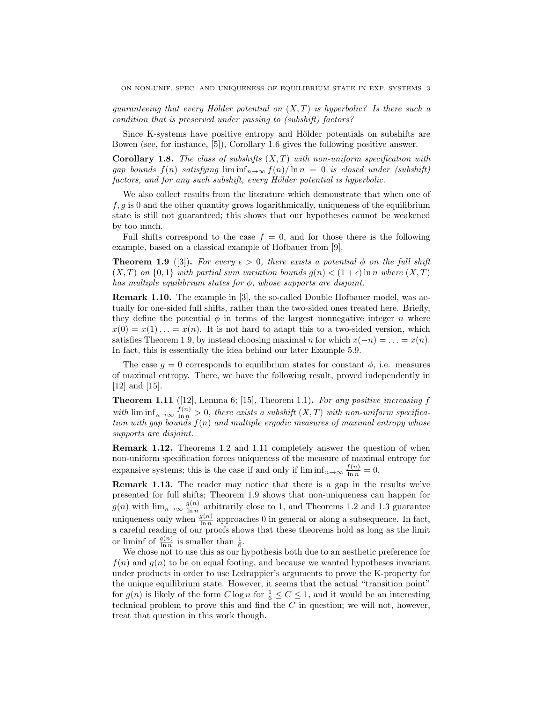quaranteeing that every Hölder potential on  $(X, T)$  is hyperbolic? Is there such a condition that is preserved under passing to (subshift) factors?

Since K-systems have positive entropy and Hölder potentials on subshifts are Bowen (see, for instance, [5]), Corollary 1.6 gives the following positive answer.

**Corollary 1.8.** The class of subshifts  $(X, T)$  with non-uniform specification with gap bounds  $f(n)$  satisfying  $\liminf_{n\to\infty} f(n)/\ln n = 0$  is closed under (subshift) factors, and for any such subshift, every Hölder potential is hyperbolic.

We also collect results from the literature which demonstrate that when one of  $f, g$  is 0 and the other quantity grows logarithmically, uniqueness of the equilibrium state is still not guaranteed; this shows that our hypotheses cannot be weakened by too much.

Full shifts correspond to the case  $f = 0$ , and for those there is the following example, based on a classical example of Hofbauer from [9].

**Theorem 1.9** ([3]). For every  $\epsilon > 0$ , there exists a potential  $\phi$  on the full shift  $(X, T)$  on  $\{0, 1\}$  with partial sum variation bounds  $g(n) < (1 + \epsilon) \ln n$  where  $(X, T)$ has multiple equilibrium states for  $\phi$ , whose supports are disjoint.

Remark 1.10. The example in [3], the so-called Double Hofbauer model, was actually for one-sided full shifts, rather than the two-sided ones treated here. Briefly, they define the potential  $\phi$  in terms of the largest nonnegative integer n where  $x(0) = x(1) \ldots = x(n)$ . It is not hard to adapt this to a two-sided version, which satisfies Theorem 1.9, by instead choosing maximal n for which  $x(-n) = \ldots = x(n)$ . In fact, this is essentially the idea behind our later Example 5.9.

The case  $q = 0$  corresponds to equilibrium states for constant  $\phi$ , i.e. measures of maximal entropy. There, we have the following result, proved independently in [12] and [15].

**Theorem 1.11** ([12], Lemma 6; [15], Theorem 1.1). For any positive increasing  $f$ with  $\liminf_{n\to\infty}\frac{f(n)}{\ln n} > 0$ , there exists a subshift  $(X,T)$  with non-uniform specification with gap bounds  $f(n)$  and multiple ergodic measures of maximal entropy whose supports are disjoint.

Remark 1.12. Theorems 1.2 and 1.11 completely answer the question of when non-uniform specification forces uniqueness of the measure of maximal entropy for expansive systems; this is the case if and only if  $\liminf_{n\to\infty} \frac{f(n)}{\ln n} = 0$ .

Remark 1.13. The reader may notice that there is a gap in the results we've presented for full shifts; Theorem 1.9 shows that non-uniqueness can happen for  $g(n)$  with  $\lim_{n\to\infty} \frac{g(n)}{\ln n}$  $\frac{g(n)}{\ln n}$  arbitrarily close to 1, and Theorems 1.2 and 1.3 guarantee uniqueness only when  $\frac{g(n)}{\ln n}$  approaches 0 in general or along a subsequence. In fact, a careful reading of our proofs shows that these theorems hold as long as the limit or liminf of  $\frac{g(n)}{\ln n}$  is smaller than  $\frac{1}{6}$ .

We chose not to use this as our hypothesis both due to an aesthetic preference for  $f(n)$  and  $g(n)$  to be on equal footing, and because we wanted hypotheses invariant under products in order to use Ledrappier's arguments to prove the K-property for the unique equilibrium state. However, it seems that the actual "transition point" for  $g(n)$  is likely of the form  $C \log n$  for  $\frac{1}{6} \leq C \leq 1$ , and it would be an interesting technical problem to prove this and find the  $C$  in question; we will not, however, treat that question in this work though.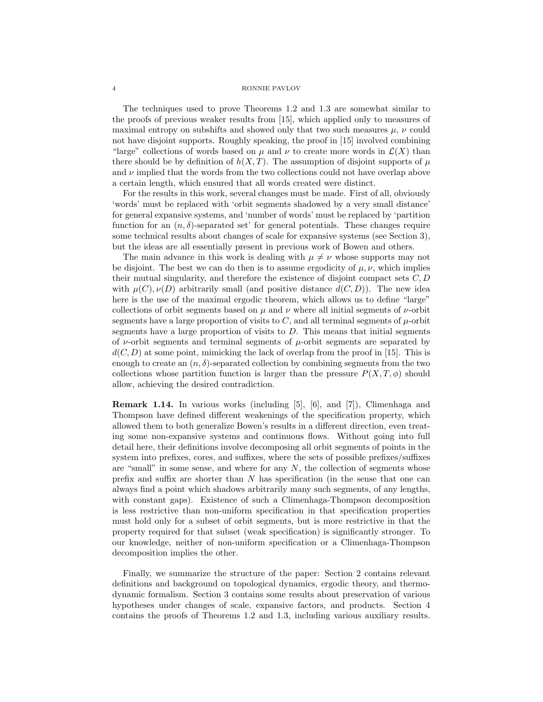The techniques used to prove Theorems 1.2 and 1.3 are somewhat similar to the proofs of previous weaker results from [15], which applied only to measures of maximal entropy on subshifts and showed only that two such measures  $\mu$ ,  $\nu$  could not have disjoint supports. Roughly speaking, the proof in [15] involved combining "large" collections of words based on  $\mu$  and  $\nu$  to create more words in  $\mathcal{L}(X)$  than there should be by definition of  $h(X,T)$ . The assumption of disjoint supports of  $\mu$ and  $\nu$  implied that the words from the two collections could not have overlap above a certain length, which ensured that all words created were distinct.

For the results in this work, several changes must be made. First of all, obviously 'words' must be replaced with 'orbit segments shadowed by a very small distance' for general expansive systems, and 'number of words' must be replaced by 'partition function for an  $(n, \delta)$ -separated set' for general potentials. These changes require some technical results about changes of scale for expansive systems (see Section 3), but the ideas are all essentially present in previous work of Bowen and others.

The main advance in this work is dealing with  $\mu \neq \nu$  whose supports may not be disjoint. The best we can do then is to assume ergodicity of  $\mu, \nu$ , which implies their mutual singularity, and therefore the existence of disjoint compact sets  $C, D$ with  $\mu(C), \nu(D)$  arbitrarily small (and positive distance  $d(C, D)$ ). The new idea here is the use of the maximal ergodic theorem, which allows us to define "large" collections of orbit segments based on  $\mu$  and  $\nu$  where all initial segments of  $\nu$ -orbit segments have a large proportion of visits to  $C$ , and all terminal segments of  $\mu$ -orbit segments have a large proportion of visits to  $D$ . This means that initial segments of  $\nu$ -orbit segments and terminal segments of  $\mu$ -orbit segments are separated by  $d(C, D)$  at some point, mimicking the lack of overlap from the proof in [15]. This is enough to create an  $(n, \delta)$ -separated collection by combining segments from the two collections whose partition function is larger than the pressure  $P(X, T, \phi)$  should allow, achieving the desired contradiction.

Remark 1.14. In various works (including [5], [6], and [7]), Climenhaga and Thompson have defined different weakenings of the specification property, which allowed them to both generalize Bowen's results in a different direction, even treating some non-expansive systems and continuous flows. Without going into full detail here, their definitions involve decomposing all orbit segments of points in the system into prefixes, cores, and suffixes, where the sets of possible prefixes/suffixes are "small" in some sense, and where for any  $N$ , the collection of segments whose prefix and suffix are shorter than N has specification (in the sense that one can always find a point which shadows arbitrarily many such segments, of any lengths, with constant gaps). Existence of such a Climenhaga-Thompson decomposition is less restrictive than non-uniform specification in that specification properties must hold only for a subset of orbit segments, but is more restrictive in that the property required for that subset (weak specification) is significantly stronger. To our knowledge, neither of non-uniform specification or a Climenhaga-Thompson decomposition implies the other.

Finally, we summarize the structure of the paper: Section 2 contains relevant definitions and background on topological dynamics, ergodic theory, and thermodynamic formalism. Section 3 contains some results about preservation of various hypotheses under changes of scale, expansive factors, and products. Section 4 contains the proofs of Theorems 1.2 and 1.3, including various auxiliary results.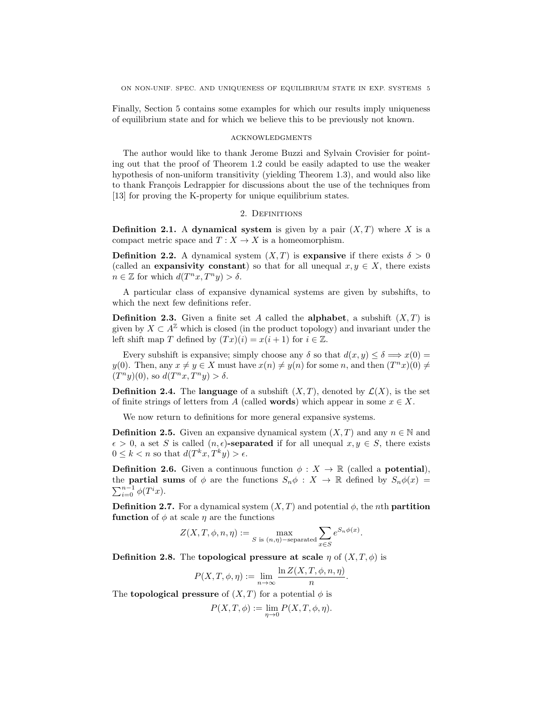Finally, Section 5 contains some examples for which our results imply uniqueness of equilibrium state and for which we believe this to be previously not known.

## acknowledgments

The author would like to thank Jerome Buzzi and Sylvain Crovisier for pointing out that the proof of Theorem 1.2 could be easily adapted to use the weaker hypothesis of non-uniform transitivity (yielding Theorem 1.3), and would also like to thank François Ledrappier for discussions about the use of the techniques from [13] for proving the K-property for unique equilibrium states.

## 2. DEFINITIONS

**Definition 2.1.** A dynamical system is given by a pair  $(X, T)$  where X is a compact metric space and  $T : X \to X$  is a homeomorphism.

**Definition 2.2.** A dynamical system  $(X, T)$  is expansive if there exists  $\delta > 0$ (called an **expansivity constant**) so that for all unequal  $x, y \in X$ , there exists  $n \in \mathbb{Z}$  for which  $d(T^n x, T^n y) > \delta$ .

A particular class of expansive dynamical systems are given by subshifts, to which the next few definitions refer.

**Definition 2.3.** Given a finite set A called the **alphabet**, a subshift  $(X, T)$  is given by  $X \subset A^{\mathbb{Z}}$  which is closed (in the product topology) and invariant under the left shift map T defined by  $(Tx)(i) = x(i + 1)$  for  $i \in \mathbb{Z}$ .

Every subshift is expansive; simply choose any  $\delta$  so that  $d(x, y) \leq \delta \implies x(0) =$ y(0). Then, any  $x \neq y \in X$  must have  $x(n) \neq y(n)$  for some n, and then  $(T^n x)(0) \neq$  $(T^n y)(0)$ , so  $d(T^n x, T^n y) > \delta$ .

**Definition 2.4.** The language of a subshift  $(X, T)$ , denoted by  $\mathcal{L}(X)$ , is the set of finite strings of letters from A (called **words**) which appear in some  $x \in X$ .

We now return to definitions for more general expansive systems.

**Definition 2.5.** Given an expansive dynamical system  $(X, T)$  and any  $n \in \mathbb{N}$  and  $\epsilon > 0$ , a set S is called  $(n, \epsilon)$ -separated if for all unequal  $x, y \in S$ , there exists  $0 \leq k < n$  so that  $d(T^k x, T^k y) > \epsilon$ .

**Definition 2.6.** Given a continuous function  $\phi: X \to \mathbb{R}$  (called a **potential**), the **partial sums** of  $\phi$  are the functions  $S_n \phi : X \to \mathbb{R}$  defined by  $S_n \phi(x) =$  $\sum_{i=0}^{n-1} \phi(T^i x).$ 

**Definition 2.7.** For a dynamical system  $(X, T)$  and potential  $\phi$ , the *n*th **partition** function of  $\phi$  at scale  $\eta$  are the functions

$$
Z(X,T,\phi,n,\eta) := \max_{S \text{ is } (n,\eta) - \text{separated}} \sum_{x \in S} e^{S_n \phi(x)}.
$$

**Definition 2.8.** The topological pressure at scale  $\eta$  of  $(X, T, \phi)$  is

$$
P(X, T, \phi, \eta) := \lim_{n \to \infty} \frac{\ln Z(X, T, \phi, n, \eta)}{n}.
$$

The **topological pressure** of  $(X, T)$  for a potential  $\phi$  is

$$
P(X, T, \phi) := \lim_{\eta \to 0} P(X, T, \phi, \eta).
$$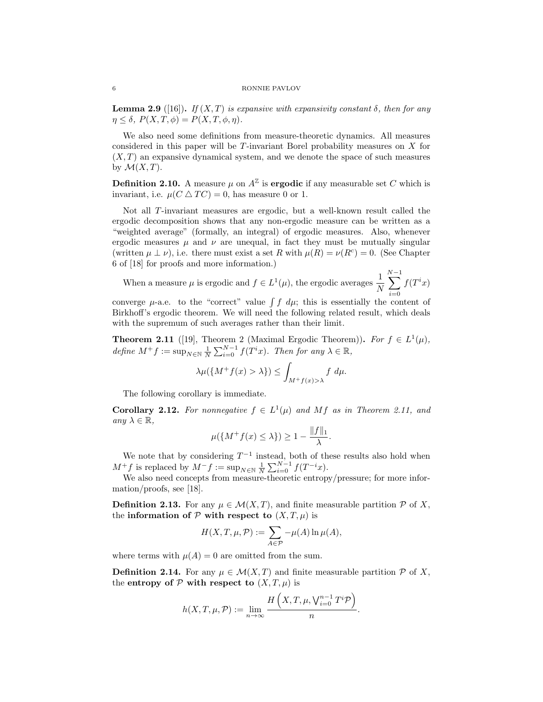**Lemma 2.9** ([16]). If  $(X,T)$  is expansive with expansivity constant  $\delta$ , then for any  $\eta \leq \delta$ ,  $P(X, T, \phi) = P(X, T, \phi, \eta)$ .

We also need some definitions from measure-theoretic dynamics. All measures considered in this paper will be T-invariant Borel probability measures on X for  $(X, T)$  an expansive dynamical system, and we denote the space of such measures by  $\mathcal{M}(X,T)$ .

**Definition 2.10.** A measure  $\mu$  on  $A^{\mathbb{Z}}$  is **ergodic** if any measurable set C which is invariant, i.e.  $\mu(C \triangle TC) = 0$ , has measure 0 or 1.

Not all T-invariant measures are ergodic, but a well-known result called the ergodic decomposition shows that any non-ergodic measure can be written as a "weighted average" (formally, an integral) of ergodic measures. Also, whenever ergodic measures  $\mu$  and  $\nu$  are unequal, in fact they must be mutually singular (written  $\mu \perp \nu$ ), i.e. there must exist a set R with  $\mu(R) = \nu(R^c) = 0$ . (See Chapter 6 of [18] for proofs and more information.)

When a measure  $\mu$  is ergodic and  $f \in L^1(\mu)$ , the ergodic averages  $\frac{1}{N}$  $\sum^{N-1}$  $i=0$  $f(T^ix)$ 

converge  $\mu$ -a.e. to the "correct" value  $\int f d\mu$ ; this is essentially the content of Birkhoff's ergodic theorem. We will need the following related result, which deals with the supremum of such averages rather than their limit.

**Theorem 2.11** ([19], Theorem 2 (Maximal Ergodic Theorem)). For  $f \in L^1(\mu)$ , define  $M^+f := \sup_{N \in \mathbb{N}} \frac{1}{N} \sum_{i=0}^{N-1} f(T^i x)$ . Then for any  $\lambda \in \mathbb{R}$ ,

$$
\lambda \mu(\lbrace M^+ f(x) > \lambda \rbrace) \le \int_{M^+ f(x) > \lambda} f \, d\mu.
$$

The following corollary is immediate.

**Corollary 2.12.** For nonnegative  $f \in L^1(\mu)$  and Mf as in Theorem 2.11, and any  $\lambda \in \mathbb{R}$ ,

$$
\mu({M^+ f(x) \le \lambda}) \ge 1 - \frac{\|f\|_1}{\lambda}.
$$

We note that by considering  $T^{-1}$  instead, both of these results also hold when  $M^+f$  is replaced by  $M^-f := \sup_{N \in \mathbb{N}} \frac{1}{N} \sum_{i=0}^{N-1} f(T^{-i}x)$ .

We also need concepts from measure-theoretic entropy/pressure; for more information/proofs, see [18].

**Definition 2.13.** For any  $\mu \in \mathcal{M}(X,T)$ , and finite measurable partition  $\mathcal{P}$  of X, the information of  $P$  with respect to  $(X, T, \mu)$  is

$$
H(X, T, \mu, \mathcal{P}) := \sum_{A \in \mathcal{P}} -\mu(A) \ln \mu(A),
$$

where terms with  $\mu(A) = 0$  are omitted from the sum.

**Definition 2.14.** For any  $\mu \in \mathcal{M}(X,T)$  and finite measurable partition  $\mathcal{P}$  of X, the entropy of  $P$  with respect to  $(X, T, \mu)$  is

$$
h(X,T,\mu,\mathcal{P}) := \lim_{n \to \infty} \frac{H\left(X,T,\mu,\bigvee_{i=0}^{n-1} T^i \mathcal{P}\right)}{n}.
$$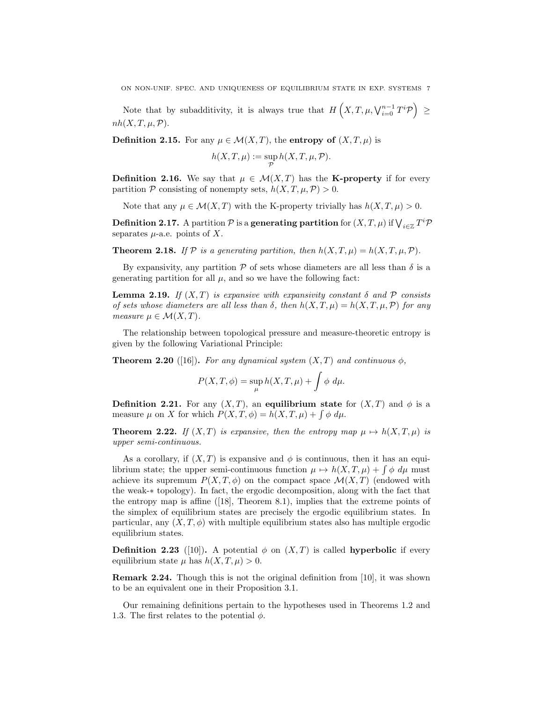Note that by subadditivity, it is always true that  $H\left(X,T,\mu,\bigvee_{i=0}^{n-1}T^i\mathcal{P}\right) \geq$  $nh(X, T, \mu, \mathcal{P}).$ 

**Definition 2.15.** For any  $\mu \in \mathcal{M}(X,T)$ , the entropy of  $(X,T,\mu)$  is

$$
h(X, T, \mu) := \sup_{\mathcal{P}} h(X, T, \mu, \mathcal{P}).
$$

**Definition 2.16.** We say that  $\mu \in \mathcal{M}(X,T)$  has the **K-property** if for every partition P consisting of nonempty sets,  $h(X, T, \mu, P) > 0$ .

Note that any  $\mu \in \mathcal{M}(X,T)$  with the K-property trivially has  $h(X,T,\mu) > 0$ .

**Definition 2.17.** A partition  $\mathcal P$  is a **generating partition** for  $(X,T,\mu)$  if  $\bigvee_{i\in\mathbb Z}T^i\mathcal P$ separates  $\mu$ -a.e. points of X.

**Theorem 2.18.** If P is a generating partition, then  $h(X, T, \mu) = h(X, T, \mu, P)$ .

By expansivity, any partition  $P$  of sets whose diameters are all less than  $\delta$  is a generating partition for all  $\mu$ , and so we have the following fact:

**Lemma 2.19.** If  $(X, T)$  is expansive with expansivity constant  $\delta$  and  $\mathcal P$  consists of sets whose diameters are all less than  $\delta$ , then  $h(X,T,\mu) = h(X,T,\mu,\mathcal{P})$  for any measure  $\mu \in \mathcal{M}(X,T)$ .

The relationship between topological pressure and measure-theoretic entropy is given by the following Variational Principle:

**Theorem 2.20** ([16]). For any dynamical system  $(X, T)$  and continuous  $\phi$ ,

$$
P(X,T,\phi) = \sup_{\mu} h(X,T,\mu) + \int \phi \, d\mu.
$$

**Definition 2.21.** For any  $(X, T)$ , an equilibrium state for  $(X, T)$  and  $\phi$  is a measure  $\mu$  on X for which  $P(X,T,\phi) = h(X,T,\mu) + \int \phi \, d\mu$ .

**Theorem 2.22.** If  $(X, T)$  is expansive, then the entropy map  $\mu \mapsto h(X, T, \mu)$  is upper semi-continuous.

As a corollary, if  $(X, T)$  is expansive and  $\phi$  is continuous, then it has an equilibrium state; the upper semi-continuous function  $\mu \mapsto h(X,T,\mu) + \int \phi \, d\mu$  must achieve its supremum  $P(X, T, \phi)$  on the compact space  $\mathcal{M}(X, T)$  (endowed with the weak-∗ topology). In fact, the ergodic decomposition, along with the fact that the entropy map is affine ([18], Theorem 8.1), implies that the extreme points of the simplex of equilibrium states are precisely the ergodic equilibrium states. In particular, any  $(X, T, \phi)$  with multiple equilibrium states also has multiple ergodic equilibrium states.

**Definition 2.23** ([10]). A potential  $\phi$  on  $(X, T)$  is called **hyperbolic** if every equilibrium state  $\mu$  has  $h(X,T,\mu) > 0$ .

Remark 2.24. Though this is not the original definition from [10], it was shown to be an equivalent one in their Proposition 3.1.

Our remaining definitions pertain to the hypotheses used in Theorems 1.2 and 1.3. The first relates to the potential  $\phi$ .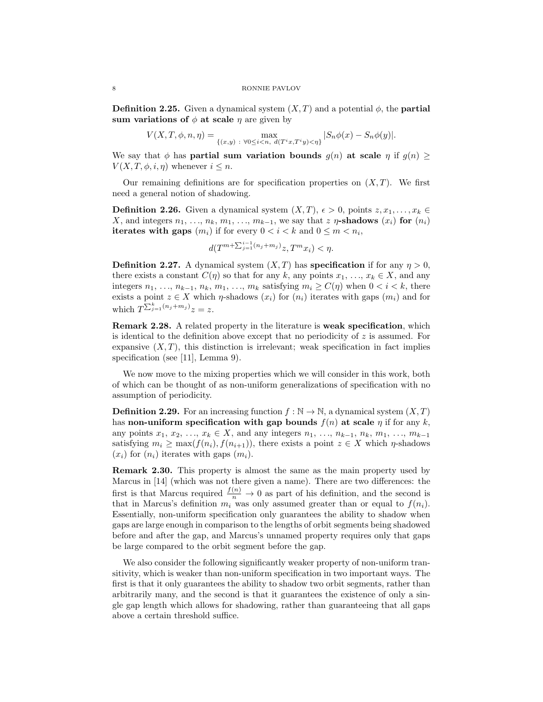**Definition 2.25.** Given a dynamical system  $(X, T)$  and a potential  $\phi$ , the **partial** sum variations of  $\phi$  at scale  $\eta$  are given by

$$
V(X, T, \phi, n, \eta) = \max_{\{(x, y) \ : \ \forall 0 \le i < n, \ d(T^i x, T^i y) < \eta\}} |S_n \phi(x) - S_n \phi(y)|.
$$

We say that  $\phi$  has **partial sum variation bounds**  $g(n)$  at scale  $\eta$  if  $g(n) \geq$  $V(X, T, \phi, i, \eta)$  whenever  $i \leq n$ .

Our remaining definitions are for specification properties on  $(X, T)$ . We first need a general notion of shadowing.

**Definition 2.26.** Given a dynamical system  $(X, T)$ ,  $\epsilon > 0$ , points  $z, x_1, \ldots, x_k \in$ X, and integers  $n_1, \ldots, n_k, m_1, \ldots, m_{k-1}$ , we say that z  $\eta$ -shadows  $(x_i)$  for  $(n_i)$ iterates with gaps  $(m_i)$  if for every  $0 < i < k$  and  $0 \le m < n_i$ ,

$$
d(T^{m+\sum_{j=1}^{i-1}(n_j+m_j)}z,T^mx_i)<\eta.
$$

**Definition 2.27.** A dynamical system  $(X, T)$  has **specification** if for any  $\eta > 0$ , there exists a constant  $C(\eta)$  so that for any k, any points  $x_1, \ldots, x_k \in X$ , and any integers  $n_1, \ldots, n_{k-1}, n_k, m_1, \ldots, m_k$  satisfying  $m_i \ge C(\eta)$  when  $0 < i < k$ , there exists a point  $z \in X$  which  $\eta$ -shadows  $(x_i)$  for  $(n_i)$  iterates with gaps  $(m_i)$  and for which  $T^{\sum_{j=1}^{k}(n_j+m_j)}z=z$ .

Remark 2.28. A related property in the literature is weak specification, which is identical to the definition above except that no periodicity of  $z$  is assumed. For expansive  $(X, T)$ , this distinction is irrelevant; weak specification in fact implies specification (see [11], Lemma 9).

We now move to the mixing properties which we will consider in this work, both of which can be thought of as non-uniform generalizations of specification with no assumption of periodicity.

**Definition 2.29.** For an increasing function  $f : \mathbb{N} \to \mathbb{N}$ , a dynamical system  $(X, T)$ has non-uniform specification with gap bounds  $f(n)$  at scale  $\eta$  if for any k, any points  $x_1, x_2, ..., x_k \in X$ , and any integers  $n_1, ..., n_{k-1}, n_k, m_1, ..., m_{k-1}$ satisfying  $m_i \ge \max(f(n_i), f(n_{i+1}))$ , there exists a point  $z \in X$  which  $\eta$ -shadows  $(x_i)$  for  $(n_i)$  iterates with gaps  $(m_i)$ .

Remark 2.30. This property is almost the same as the main property used by Marcus in [14] (which was not there given a name). There are two differences: the first is that Marcus required  $\frac{f(n)}{n} \to 0$  as part of his definition, and the second is that in Marcus's definition  $m_i$  was only assumed greater than or equal to  $f(n_i)$ . Essentially, non-uniform specification only guarantees the ability to shadow when gaps are large enough in comparison to the lengths of orbit segments being shadowed before and after the gap, and Marcus's unnamed property requires only that gaps be large compared to the orbit segment before the gap.

We also consider the following significantly weaker property of non-uniform transitivity, which is weaker than non-uniform specification in two important ways. The first is that it only guarantees the ability to shadow two orbit segments, rather than arbitrarily many, and the second is that it guarantees the existence of only a single gap length which allows for shadowing, rather than guaranteeing that all gaps above a certain threshold suffice.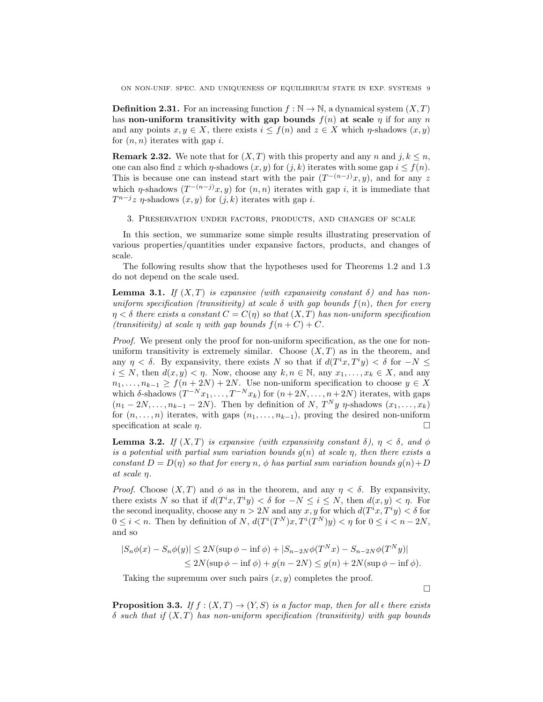**Definition 2.31.** For an increasing function  $f : \mathbb{N} \to \mathbb{N}$ , a dynamical system  $(X, T)$ has non-uniform transitivity with gap bounds  $f(n)$  at scale  $\eta$  if for any n and any points  $x, y \in X$ , there exists  $i \leq f(n)$  and  $z \in X$  which  $\eta$ -shadows  $(x, y)$ for  $(n, n)$  iterates with gap i.

**Remark 2.32.** We note that for  $(X, T)$  with this property and any n and j,  $k \leq n$ , one can also find z which  $\eta$ -shadows  $(x, y)$  for  $(j, k)$  iterates with some gap  $i \leq f(n)$ . This is because one can instead start with the pair  $(T^{-(n-j)}x, y)$ , and for any z which  $\eta$ -shadows  $(T^{-(n-j)}x, y)$  for  $(n, n)$  iterates with gap i, it is immediate that  $T^{n-j}z$   $\eta$ -shadows  $(x, y)$  for  $(j, k)$  iterates with gap i.

3. Preservation under factors, products, and changes of scale

In this section, we summarize some simple results illustrating preservation of various properties/quantities under expansive factors, products, and changes of scale.

The following results show that the hypotheses used for Theorems 1.2 and 1.3 do not depend on the scale used.

**Lemma 3.1.** If  $(X, T)$  is expansive (with expansivity constant  $\delta$ ) and has nonuniform specification (transitivity) at scale  $\delta$  with gap bounds  $f(n)$ , then for every  $\eta < \delta$  there exists a constant  $C = C(\eta)$  so that  $(X,T)$  has non-uniform specification (transitivity) at scale  $\eta$  with gap bounds  $f(n+C) + C$ .

Proof. We present only the proof for non-uniform specification, as the one for nonuniform transitivity is extremely similar. Choose  $(X, T)$  as in the theorem, and any  $\eta < \delta$ . By expansivity, there exists N so that if  $d(T^ix, T^iy) < \delta$  for  $-N \leq$  $i \leq N$ , then  $d(x, y) < \eta$ . Now, choose any  $k, n \in \mathbb{N}$ , any  $x_1, \ldots, x_k \in X$ , and any  $n_1, \ldots, n_{k-1} \ge f(n+2N) + 2N$ . Use non-uniform specification to choose  $y \in X$ which  $\delta$ -shadows  $(T^{-N}x_1, \ldots, T^{-N}x_k)$  for  $(n+2N, \ldots, n+2N)$  iterates, with gaps  $(n_1 - 2N, \ldots, n_{k-1} - 2N)$ . Then by definition of N,  $T^N y \eta$ -shadows  $(x_1, \ldots, x_k)$ for  $(n, \ldots, n)$  iterates, with gaps  $(n_1, \ldots, n_{k-1})$ , proving the desired non-uniform specification at scale  $\eta$ .

**Lemma 3.2.** If  $(X, T)$  is expansive (with expansivity constant  $\delta$ ),  $\eta < \delta$ , and  $\phi$ is a potential with partial sum variation bounds  $g(n)$  at scale  $\eta$ , then there exists a constant  $D = D(\eta)$  so that for every n,  $\phi$  has partial sum variation bounds  $g(n) + D$ at scale η.

*Proof.* Choose  $(X, T)$  and  $\phi$  as in the theorem, and any  $\eta < \delta$ . By expansivity, there exists N so that if  $d(T^ix, T^iy) < \delta$  for  $-N \leq i \leq N$ , then  $d(x, y) < \eta$ . For the second inequality, choose any  $n > 2N$  and any  $x, y$  for which  $d(T^i x, T^i y) < \delta$  for  $0 \leq i < n$ . Then by definition of N,  $d(T^{i}(T^{N})x, T^{i}(T^{N})y) < \eta$  for  $0 \leq i < n-2N$ , and so

$$
|S_n\phi(x) - S_n\phi(y)| \le 2N(\sup \phi - \inf \phi) + |S_{n-2N}\phi(T^Nx) - S_{n-2N}\phi(T^Ny)|
$$
  

$$
\le 2N(\sup \phi - \inf \phi) + g(n-2N) \le g(n) + 2N(\sup \phi - \inf \phi).
$$

Taking the supremum over such pairs  $(x, y)$  completes the proof.

 $\Box$ 

**Proposition 3.3.** If  $f : (X,T) \to (Y,S)$  is a factor map, then for all  $\epsilon$  there exists  $\delta$  such that if  $(X, T)$  has non-uniform specification (transitivity) with gap bounds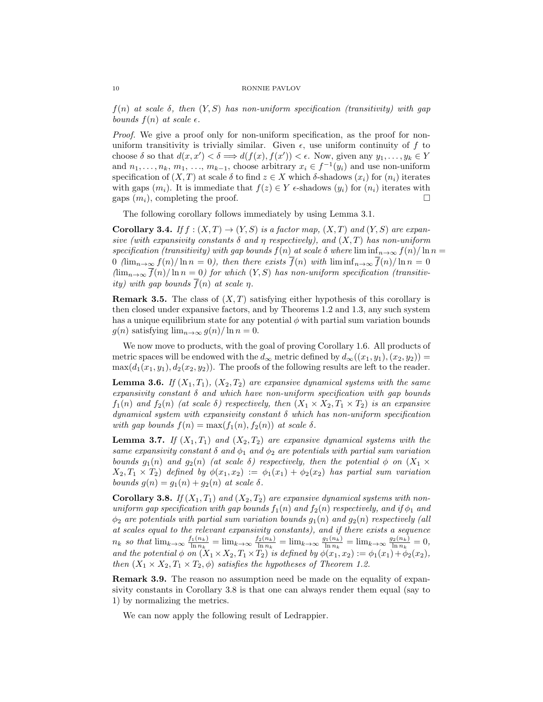$f(n)$  at scale  $\delta$ , then  $(Y, S)$  has non-uniform specification (transitivity) with gap bounds  $f(n)$  at scale  $\epsilon$ .

Proof. We give a proof only for non-uniform specification, as the proof for nonuniform transitivity is trivially similar. Given  $\epsilon$ , use uniform continuity of f to choose  $\delta$  so that  $d(x, x') < \delta \Longrightarrow d(f(x), f(x')) < \epsilon$ . Now, given any  $y_1, \ldots, y_k \in Y$ and  $n_1, \ldots, n_k, m_1, \ldots, m_{k-1}$ , choose arbitrary  $x_i \in f^{-1}(y_i)$  and use non-uniform specification of  $(X, T)$  at scale  $\delta$  to find  $z \in X$  which  $\delta$ -shadows  $(x_i)$  for  $(n_i)$  iterates with gaps  $(m_i)$ . It is immediate that  $f(z) \in Y$   $\epsilon$ -shadows  $(y_i)$  for  $(n_i)$  iterates with gaps  $(m_i)$ , completing the proof.

The following corollary follows immediately by using Lemma 3.1.

Corollary 3.4. If  $f : (X,T) \to (Y,S)$  is a factor map,  $(X,T)$  and  $(Y,S)$  are expansive (with expansivity constants  $\delta$  and  $\eta$  respectively), and  $(X,T)$  has non-uniform specification (transitivity) with gap bounds  $f(n)$  at scale  $\delta$  where  $\liminf_{n\to\infty} f(n)/\ln n =$ 0 (lim<sub>n→∞</sub>  $f(n)/\ln n = 0$ ), then there exists  $\overline{f}(n)$  with lim  $\inf_{n\to\infty} \overline{f}(n)/\ln n = 0$  $(\lim_{n\to\infty} \overline{f}(n)/\ln n = 0)$  for which  $(Y, S)$  has non-uniform specification (transitivity) with gap bounds  $\overline{f}(n)$  at scale  $\eta$ .

**Remark 3.5.** The class of  $(X, T)$  satisfying either hypothesis of this corollary is then closed under expansive factors, and by Theorems 1.2 and 1.3, any such system has a unique equilibrium state for any potential  $\phi$  with partial sum variation bounds  $g(n)$  satisfying  $\lim_{n\to\infty} g(n)/\ln n = 0$ .

We now move to products, with the goal of proving Corollary 1.6. All products of metric spaces will be endowed with the  $d_{\infty}$  metric defined by  $d_{\infty}((x_1, y_1), (x_2, y_2)) =$  $\max(d_1(x_1, y_1), d_2(x_2, y_2))$ . The proofs of the following results are left to the reader.

**Lemma 3.6.** If  $(X_1, T_1)$ ,  $(X_2, T_2)$  are expansive dynamical systems with the same expansivity constant  $\delta$  and which have non-uniform specification with gap bounds  $f_1(n)$  and  $f_2(n)$  (at scale  $\delta$ ) respectively, then  $(X_1 \times X_2, T_1 \times T_2)$  is an expansive dynamical system with expansivity constant  $\delta$  which has non-uniform specification with gap bounds  $f(n) = \max(f_1(n), f_2(n))$  at scale  $\delta$ .

**Lemma 3.7.** If  $(X_1, T_1)$  and  $(X_2, T_2)$  are expansive dynamical systems with the same expansivity constant  $\delta$  and  $\phi_1$  and  $\phi_2$  are potentials with partial sum variation bounds  $g_1(n)$  and  $g_2(n)$  (at scale  $\delta$ ) respectively, then the potential  $\phi$  on  $(X_1 \times$  $X_2, T_1 \times T_2$  defined by  $\phi(x_1, x_2) := \phi_1(x_1) + \phi_2(x_2)$  has partial sum variation bounds  $g(n) = g_1(n) + g_2(n)$  at scale  $\delta$ .

Corollary 3.8. If  $(X_1, T_1)$  and  $(X_2, T_2)$  are expansive dynamical systems with nonuniform gap specification with gap bounds  $f_1(n)$  and  $f_2(n)$  respectively, and if  $\phi_1$  and  $\phi_2$  are potentials with partial sum variation bounds  $g_1(n)$  and  $g_2(n)$  respectively (all at scales equal to the relevant expansivity constants), and if there exists a sequence  $n_k$  so that  $\lim_{k\to\infty}\frac{f_1(n_k)}{\ln n_k}$  $\frac{f_1(n_k)}{\ln n_k} = \lim_{k \to \infty} \frac{f_2(n_k)}{\ln n_k}$  $\lim_{n_k} \frac{g_1(n_k)}{\ln n_k} = \lim_{k \to \infty} \frac{g_1(n_k)}{\ln n_k}$  $\frac{d_{1}(n_{k})}{\ln n_{k}} = \lim_{k \to \infty} \frac{g_{2}(n_{k})}{\ln n_{k}}$  $\frac{d_{2}(n_{k})}{\ln n_{k}}=0,$ and the potential  $\phi$  on  $(X_1 \times X_2, T_1 \times T_2)$  is defined by  $\phi(x_1, x_2) := \phi_1(x_1) + \phi_2(x_2)$ , then  $(X_1 \times X_2, T_1 \times T_2, \phi)$  satisfies the hypotheses of Theorem 1.2.

Remark 3.9. The reason no assumption need be made on the equality of expansivity constants in Corollary 3.8 is that one can always render them equal (say to 1) by normalizing the metrics.

We can now apply the following result of Ledrappier.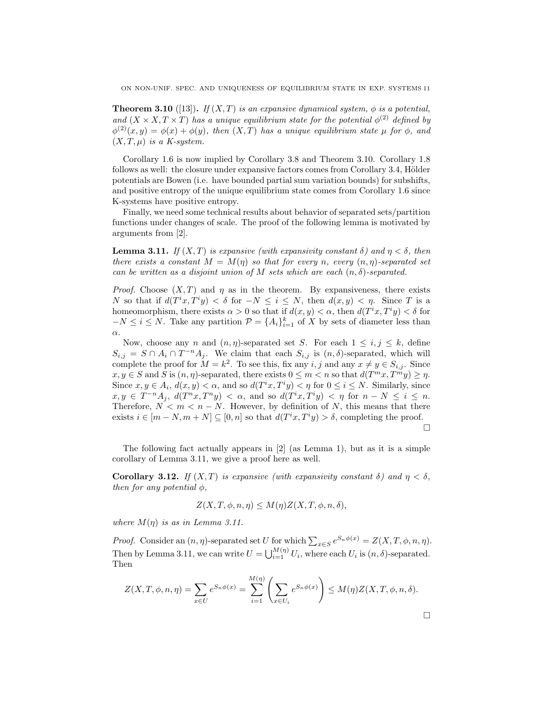**Theorem 3.10** ([13]). If  $(X, T)$  is an expansive dynamical system,  $\phi$  is a potential, and  $(X \times X, T \times T)$  has a unique equilibrium state for the potential  $\phi^{(2)}$  defined by  $\phi^{(2)}(x,y) = \phi(x) + \phi(y)$ , then  $(X,T)$  has a unique equilibrium state  $\mu$  for  $\phi$ , and  $(X, T, \mu)$  is a K-system.

Corollary 1.6 is now implied by Corollary 3.8 and Theorem 3.10. Corollary 1.8 follows as well: the closure under expansive factors comes from Corollary 3.4, Hölder potentials are Bowen (i.e. have bounded partial sum variation bounds) for subshifts, and positive entropy of the unique equilibrium state comes from Corollary 1.6 since K-systems have positive entropy.

Finally, we need some technical results about behavior of separated sets/partition functions under changes of scale. The proof of the following lemma is motivated by arguments from [2].

**Lemma 3.11.** If  $(X, T)$  is expansive (with expansivity constant  $\delta$ ) and  $\eta < \delta$ , then there exists a constant  $M = M(\eta)$  so that for every n, every  $(n, \eta)$ -separated set can be written as a disjoint union of M sets which are each  $(n, \delta)$ -separated.

*Proof.* Choose  $(X, T)$  and  $\eta$  as in the theorem. By expansiveness, there exists N so that if  $d(T^ix, T^iy) < \delta$  for  $-N \leq i \leq N$ , then  $d(x, y) < \eta$ . Since T is a homeomorphism, there exists  $\alpha > 0$  so that if  $d(x, y) < \alpha$ , then  $d(T^i x, T^i y) < \delta$  for  $-N \leq i \leq N$ . Take any partition  $\mathcal{P} = \{A_i\}_{i=1}^k$  of X by sets of diameter less than α.

Now, choose any n and  $(n, \eta)$ -separated set S. For each  $1 \leq i, j \leq k$ , define  $S_{i,j} = S \cap A_i \cap T^{-n}A_j$ . We claim that each  $S_{i,j}$  is  $(n, \delta)$ -separated, which will complete the proof for  $M = k^2$ . To see this, fix any i, j and any  $x \neq y \in S_{i,j}$ . Since  $x, y \in S$  and S is  $(n, \eta)$ -separated, there exists  $0 \leq m < n$  so that  $d(T^m x, T^m y) \geq \eta$ . Since  $x, y \in A_i$ ,  $d(x, y) < \alpha$ , and so  $d(T^i x, T^i y) < \eta$  for  $0 \le i \le N$ . Similarly, since  $x, y \in T^{-n}A_j$ ,  $d(T^nx, T^ny) < \alpha$ , and so  $d(T^ix, T^iy) < \eta$  for  $n - N \le i \le n$ . Therefore,  $N < m < n - N$ . However, by definition of N, this means that there exists  $i \in [m-N, m+N] \subseteq [0, n]$  so that  $d(T^i x, T^i y) > \delta$ , completing the proof. П

The following fact actually appears in [2] (as Lemma 1), but as it is a simple corollary of Lemma 3.11, we give a proof here as well.

Corollary 3.12. If  $(X, T)$  is expansive (with expansivity constant  $\delta$ ) and  $\eta < \delta$ , then for any potential  $\phi$ ,

$$
Z(X, T, \phi, n, \eta) \le M(\eta) Z(X, T, \phi, n, \delta),
$$

where  $M(\eta)$  is as in Lemma 3.11.

*Proof.* Consider an  $(n, \eta)$ -separated set U for which  $\sum_{x \in S} e^{S_n \phi(x)} = Z(X, T, \phi, n, \eta)$ . Then by Lemma 3.11, we can write  $U = \bigcup_{i=1}^{M(\eta)} U_i$ , where each  $U_i$  is  $(n, \delta)$ -separated. Then

$$
Z(X,T,\phi,n,\eta) = \sum_{x \in U} e^{S_n \phi(x)} = \sum_{i=1}^{M(\eta)} \left( \sum_{x \in U_i} e^{S_n \phi(x)} \right) \le M(\eta) Z(X,T,\phi,n,\delta).
$$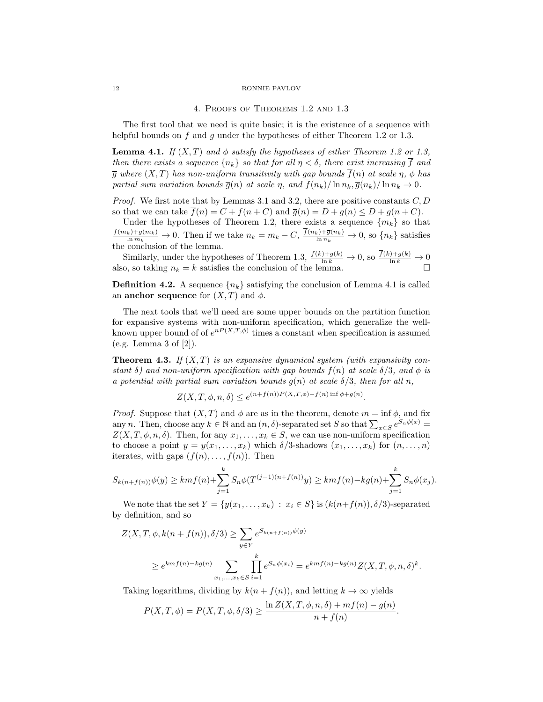### 4. Proofs of Theorems 1.2 and 1.3

The first tool that we need is quite basic; it is the existence of a sequence with helpful bounds on f and q under the hypotheses of either Theorem 1.2 or 1.3.

**Lemma 4.1.** If  $(X, T)$  and  $\phi$  satisfy the hypotheses of either Theorem 1.2 or 1.3, then there exists a sequence  $\{n_k\}$  so that for all  $\eta < \delta$ , there exist increasing  $\overline{f}$  and  $\overline{g}$  where  $(X,T)$  has non-uniform transitivity with gap bounds  $\overline{f}(n)$  at scale  $\eta$ ,  $\phi$  has partial sum variation bounds  $\overline{g}(n)$  at scale  $\eta$ , and  $\overline{f}(n_k)/\ln n_k$ ,  $\overline{g}(n_k)/\ln n_k \to 0$ .

*Proof.* We first note that by Lemmas 3.1 and 3.2, there are positive constants  $C, D$ so that we can take  $\overline{f}(n) = C + f(n+C)$  and  $\overline{g}(n) = D + g(n) \le D + g(n+C)$ .

Under the hypotheses of Theorem 1.2, there exists a sequence  ${m_k}$  so that  $\frac{f(m_k)+g(m_k)}{\ln m_k} \to 0$ . Then if we take  $n_k = m_k - C$ ,  $\frac{f(n_k)+\overline{g}(n_k)}{\ln n_k} \to 0$ , so  $\{n_k\}$  satisfies the conclusion of the lemma.

Similarly, under the hypotheses of Theorem 1.3,  $\frac{f(k)+g(k)}{\ln k} \to 0$ , so  $\frac{f(k)+\overline{g}(k)}{\ln k} \to 0$ also, so taking  $n_k = k$  satisfies the conclusion of the lemma.

**Definition 4.2.** A sequence  $\{n_k\}$  satisfying the conclusion of Lemma 4.1 is called an **anchor sequence** for  $(X, T)$  and  $\phi$ .

The next tools that we'll need are some upper bounds on the partition function for expansive systems with non-uniform specification, which generalize the wellknown upper bound of of  $e^{nP(X,T,\phi)}$  times a constant when specification is assumed (e.g. Lemma 3 of [2]).

**Theorem 4.3.** If  $(X, T)$  is an expansive dynamical system (with expansivity constant  $\delta$ ) and non-uniform specification with gap bounds  $f(n)$  at scale  $\delta/3$ , and  $\phi$  is a potential with partial sum variation bounds  $g(n)$  at scale  $\delta/3$ , then for all n,

$$
Z(X, T, \phi, n, \delta) \le e^{(n+f(n))P(X, T, \phi) - f(n) \inf \phi + g(n)}.
$$

*Proof.* Suppose that  $(X, T)$  and  $\phi$  are as in the theorem, denote  $m = \inf \phi$ , and fix any n. Then, choose any  $k \in \mathbb{N}$  and an  $(n, \delta)$ -separated set S so that  $\sum_{x \in S} e^{S_n \phi(x)} =$  $Z(X, T, \phi, n, \delta)$ . Then, for any  $x_1, \ldots, x_k \in S$ , we can use non-uniform specification to choose a point  $y = y(x_1, \ldots, x_k)$  which  $\delta/3$ -shadows  $(x_1, \ldots, x_k)$  for  $(n, \ldots, n)$ iterates, with gaps  $(f(n), \ldots, f(n))$ . Then

$$
S_{k(n+f(n))}\phi(y) \geq km f(n) + \sum_{j=1}^{k} S_n \phi(T^{(j-1)(n+f(n))}y) \geq km f(n) - k g(n) + \sum_{j=1}^{k} S_n \phi(x_j).
$$

We note that the set  $Y = \{y(x_1, \ldots, x_k) : x_i \in S\}$  is  $(k(n+f(n)), \delta/3)$ -separated by definition, and so

$$
Z(X, T, \phi, k(n + f(n)), \delta/3) \ge \sum_{y \in Y} e^{S_{k(n + f(n))}\phi(y)}
$$
  
 
$$
\ge e^{kmf(n) - kg(n)} \sum_{x_1, ..., x_k \in S} \prod_{i=1}^k e^{S_n \phi(x_i)} = e^{kmf(n) - kg(n)} Z(X, T, \phi, n, \delta)^k.
$$

Taking logarithms, dividing by  $k(n + f(n))$ , and letting  $k \to \infty$  yields

$$
P(X,T,\phi) = P(X,T,\phi,\delta/3) \ge \frac{\ln Z(X,T,\phi,n,\delta) + mf(n) - g(n)}{n + f(n)}
$$

.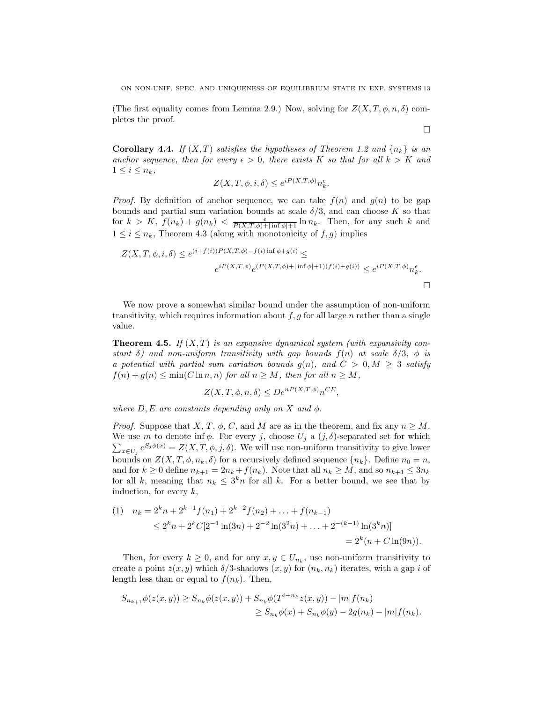ON NON-UNIF. SPEC. AND UNIQUENESS OF EQUILIBRIUM STATE IN EXP. SYSTEMS 13

(The first equality comes from Lemma 2.9.) Now, solving for  $Z(X, T, \phi, n, \delta)$  completes the proof.

 $\Box$ 

**Corollary 4.4.** If  $(X, T)$  satisfies the hypotheses of Theorem 1.2 and  $\{n_k\}$  is an anchor sequence, then for every  $\epsilon > 0$ , there exists K so that for all  $k > K$  and  $1 \leq i \leq n_k$ ,

$$
Z(X, T, \phi, i, \delta) \le e^{iP(X, T, \phi)} n_k^{\epsilon}.
$$

*Proof.* By definition of anchor sequence, we can take  $f(n)$  and  $g(n)$  to be gap bounds and partial sum variation bounds at scale  $\delta/3$ , and can choose K so that for  $k > K$ ,  $f(n_k) + g(n_k) < \frac{\epsilon}{P(X,T,\phi)+|\inf \phi|+1} \ln n_k$ . Then, for any such k and  $1 \leq i \leq n_k$ , Theorem 4.3 (along with monotonicity of  $f, g$ ) implies

$$
Z(X, T, \phi, i, \delta) \le e^{(i+f(i))P(X, T, \phi) - f(i) \inf \phi + g(i)} \le
$$
  

$$
e^{iP(X, T, \phi)} e^{(P(X, T, \phi) + |\inf \phi| + 1)(f(i) + g(i))} \le e^{iP(X, T, \phi)} n_k^{\epsilon}.
$$

We now prove a somewhat similar bound under the assumption of non-uniform transitivity, which requires information about  $f, g$  for all large n rather than a single value.

**Theorem 4.5.** If  $(X, T)$  is an expansive dynamical system (with expansivity constant  $\delta$ ) and non-uniform transitivity with gap bounds  $f(n)$  at scale  $\delta/3$ ,  $\phi$  is a potential with partial sum variation bounds  $g(n)$ , and  $C > 0, M \geq 3$  satisfy  $f(n) + g(n) \leq \min(C \ln n, n)$  for all  $n \geq M$ , then for all  $n \geq M$ ,

$$
Z(X, T, \phi, n, \delta) \le D e^{n(X, T, \phi)} n^{CE},
$$

where  $D, E$  are constants depending only on X and  $\phi$ .

*Proof.* Suppose that X, T,  $\phi$ , C, and M are as in the theorem, and fix any  $n \geq M$ . We use m to denote inf  $\phi$ . For every j, choose  $U_j$  a  $(j, \delta)$ -separated set for which  $\sum_{x\in U_j} e^{S_j \phi(x)} = Z(X,T,\phi,j,\delta)$ . We will use non-uniform transitivity to give lower bounds on  $Z(X, T, \phi, n_k, \delta)$  for a recursively defined sequence  $\{n_k\}$ . Define  $n_0 = n$ , and for  $k \geq 0$  define  $n_{k+1} = 2n_k + f(n_k)$ . Note that all  $n_k \geq M$ , and so  $n_{k+1} \leq 3n_k$ for all k, meaning that  $n_k \leq 3^k n$  for all k. For a better bound, we see that by induction, for every  $k$ ,

$$
\begin{aligned} (1) \quad n_k &= 2^k n + 2^{k-1} f(n_1) + 2^{k-2} f(n_2) + \ldots + f(n_{k-1}) \\ &\le 2^k n + 2^k C [2^{-1} \ln(3n) + 2^{-2} \ln(3^2 n) + \ldots + 2^{-(k-1)} \ln(3^k n)] \\ &= 2^k (n + C \ln(9n)). \end{aligned}
$$

Then, for every  $k \geq 0$ , and for any  $x, y \in U_{n_k}$ , use non-uniform transitivity to create a point  $z(x, y)$  which  $\delta/3$ -shadows  $(x, y)$  for  $(n_k, n_k)$  iterates, with a gap i of length less than or equal to  $f(n_k)$ . Then,

$$
S_{n_{k+1}}\phi(z(x,y)) \geq S_{n_k}\phi(z(x,y)) + S_{n_k}\phi(T^{i+n_k}z(x,y)) - |m|f(n_k)
$$
  

$$
\geq S_{n_k}\phi(x) + S_{n_k}\phi(y) - 2g(n_k) - |m|f(n_k).
$$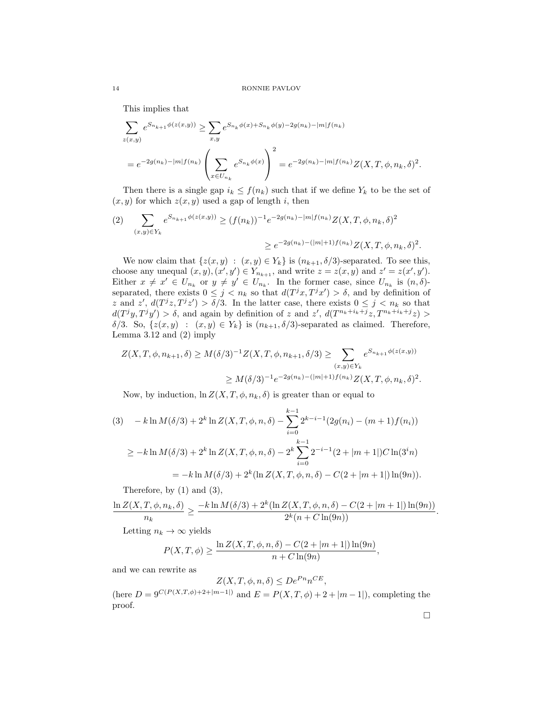This implies that

$$
\sum_{z(x,y)} e^{S_{n_{k+1}}\phi(z(x,y))} \ge \sum_{x,y} e^{S_{n_k}\phi(x) + S_{n_k}\phi(y) - 2g(n_k) - |m|f(n_k)}
$$
  
=  $e^{-2g(n_k) - |m|f(n_k)} \left( \sum_{x \in U_{n_k}} e^{S_{n_k}\phi(x)} \right)^2 = e^{-2g(n_k) - |m|f(n_k)} Z(X, T, \phi, n_k, \delta)^2.$ 

Then there is a single gap  $i_k \leq f(n_k)$  such that if we define  $Y_k$  to be the set of  $(x, y)$  for which  $z(x, y)$  used a gap of length i, then

$$
(2) \quad \sum_{(x,y)\in Y_k} e^{S_{n_{k+1}}\phi(z(x,y))} \ge (f(n_k))^{-1} e^{-2g(n_k) - |m|f(n_k)} Z(X, T, \phi, n_k, \delta)^2
$$

$$
\ge e^{-2g(n_k) - (|m|+1)f(n_k)} Z(X, T, \phi, n_k, \delta)^2.
$$

We now claim that  $\{z(x, y) : (x, y) \in Y_k\}$  is  $(n_{k+1}, \delta/3)$ -separated. To see this, choose any unequal  $(x, y), (x', y') \in Y_{n_{k+1}}$ , and write  $z = z(x, y)$  and  $z' = z(x', y')$ . Either  $x \neq x' \in U_{n_k}$  or  $y \neq y' \in U_{n_k}$ . In the former case, since  $U_{n_k}$  is  $(n, \delta)$ separated, there exists  $0 \leq j \leq n_k$  so that  $d(T^jx, T^jx') > \delta$ , and by definition of z and  $z'$ ,  $d(T^jz, T^jz') > \delta/3$ . In the latter case, there exists  $0 \leq j \leq n_k$  so that  $d(T^jy, T^jy') > \delta$ , and again by definition of z and z',  $d(T^{n_k+i_k+j}z, T^{n_k+i_k+j}z)$  $\delta/3$ . So,  $\{z(x, y) : (x, y) \in Y_k\}$  is  $(n_{k+1}, \delta/3)$ -separated as claimed. Therefore, Lemma 3.12 and (2) imply

$$
Z(X, T, \phi, n_{k+1}, \delta) \ge M(\delta/3)^{-1} Z(X, T, \phi, n_{k+1}, \delta/3) \ge \sum_{(x,y) \in Y_k} e^{S_{n_{k+1}}\phi(z(x,y))}
$$
  

$$
\ge M(\delta/3)^{-1} e^{-2g(n_k)-(|m|+1)f(n_k)} Z(X, T, \phi, n_k, \delta)^2.
$$

Now, by induction,  $\ln Z(X, T, \phi, n_k, \delta)$  is greater than or equal to

$$
(3) \quad -k \ln M(\delta/3) + 2^k \ln Z(X, T, \phi, n, \delta) - \sum_{i=0}^{k-1} 2^{k-i-1} (2g(n_i) - (m+1)f(n_i))
$$

$$
\geq -k \ln M(\delta/3) + 2^k \ln Z(X, T, \phi, n, \delta) - 2^k \sum_{i=0}^{k-1} 2^{-i-1} (2 + |m+1|) C \ln(3^i n)
$$

$$
= -k \ln M(\delta/3) + 2^k (\ln Z(X, T, \phi, n, \delta) - C(2 + |m+1|) \ln(9n)).
$$

Therefore, by (1) and (3),

$$
\frac{\ln Z(X, T, \phi, n_k, \delta)}{n_k} \ge \frac{-k \ln M(\delta/3) + 2^k (\ln Z(X, T, \phi, n, \delta) - C(2 + |m + 1|) \ln(9n))}{2^k (n + C \ln(9n))}.
$$

Letting  $n_k \to \infty$  yields

$$
P(X, T, \phi) \ge \frac{\ln Z(X, T, \phi, n, \delta) - C(2 + |m + 1|) \ln(9n)}{n + C \ln(9n)},
$$

and we can rewrite as

$$
Z(X, T, \phi, n, \delta) \le D e^{Pn} n^{CE},
$$

(here  $D = 9^{C(P(X,T,\phi)+2+|m-1|)}$  and  $E = P(X,T,\phi)+2+|m-1|$ ), completing the proof.

 $\Box$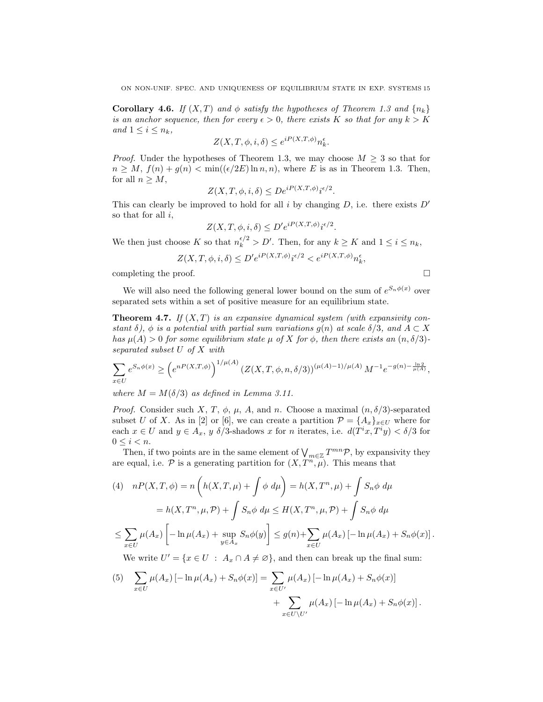**Corollary 4.6.** If  $(X, T)$  and  $\phi$  satisfy the hypotheses of Theorem 1.3 and  $\{n_k\}$ is an anchor sequence, then for every  $\epsilon > 0$ , there exists K so that for any  $k > K$ and  $1 \leq i \leq n_k$ ,

$$
Z(X, T, \phi, i, \delta) \le e^{iP(X, T, \phi)} n_k^{\epsilon}.
$$

*Proof.* Under the hypotheses of Theorem 1.3, we may choose  $M \geq 3$  so that for  $n \geq M$ ,  $f(n) + g(n) < \min((\epsilon/2E) \ln n, n)$ , where E is as in Theorem 1.3. Then, for all  $n \geq M$ ,

$$
Z(X, T, \phi, i, \delta) \le D e^{i P(X, T, \phi)} i^{\epsilon/2}.
$$

This can clearly be improved to hold for all i by changing  $D$ , i.e. there exists  $D'$ so that for all  $i$ ,

$$
Z(X, T, \phi, i, \delta) \le D' e^{i P(X, T, \phi)} i^{\epsilon/2}.
$$

We then just choose K so that  $n_k^{\epsilon/2} > D'$ . Then, for any  $k \ge K$  and  $1 \le i \le n_k$ ,

$$
Z(X, T, \phi, i, \delta) \le D' e^{iP(X, T, \phi)} i^{\epsilon/2} < e^{iP(X, T, \phi)} n_k^{\epsilon},
$$

completing the proof.  $\Box$ 

We will also need the following general lower bound on the sum of  $e^{S_n \phi(x)}$  over separated sets within a set of positive measure for an equilibrium state.

**Theorem 4.7.** If  $(X, T)$  is an expansive dynamical system (with expansivity constant  $\delta$ ),  $\phi$  is a potential with partial sum variations  $q(n)$  at scale  $\delta/3$ , and  $A \subset X$ has  $\mu(A) > 0$  for some equilibrium state  $\mu$  of X for  $\phi$ , then there exists an  $(n, \delta/3)$ separated subset U of X with

$$
\sum_{x \in U} e^{S_n \phi(x)} \ge \left( e^{nP(X,T,\phi)} \right)^{1/\mu(A)} \left( Z(X,T,\phi,n,\delta/3) \right)^{(\mu(A)-1)/\mu(A)} M^{-1} e^{-g(n) - \frac{\ln 2}{\mu(A)}},
$$

where  $M = M(\delta/3)$  as defined in Lemma 3.11.

*Proof.* Consider such X, T,  $\phi$ ,  $\mu$ , A, and n. Choose a maximal  $(n, \delta/3)$ -separated subset U of X. As in [2] or [6], we can create a partition  $\mathcal{P} = \{A_x\}_{x \in U}$  where for each  $x \in U$  and  $y \in A_x$ , y  $\delta/3$ -shadows x for n iterates, i.e.  $d(T^i x, T^i y) < \delta/3$  for  $0 \leq i < n$ .

Then, if two points are in the same element of  $\bigvee_{m\in\mathbb{Z}}T^{mn}\mathcal{P}$ , by expansivity they are equal, i.e.  $P$  is a generating partition for  $(X, T^n, \mu)$ . This means that

$$
(4) \quad nP(X,T,\phi) = n\left(h(X,T,\mu) + \int \phi \ d\mu\right) = h(X,T^n,\mu) + \int S_n \phi \ d\mu
$$

$$
= h(X,T^n,\mu,\mathcal{P}) + \int S_n \phi \ d\mu \le H(X,T^n,\mu,\mathcal{P}) + \int S_n \phi \ d\mu
$$

$$
\le \sum_{x \in U} \mu(A_x) \left[ -\ln \mu(A_x) + \sup_{y \in A_x} S_n \phi(y) \right] \le g(n) + \sum_{x \in U} \mu(A_x) \left[ -\ln \mu(A_x) + S_n \phi(x) \right].
$$

We write  $U' = \{x \in U : A_x \cap A \neq \emptyset\}$ , and then can break up the final sum:

(5) 
$$
\sum_{x \in U} \mu(A_x) \left[ -\ln \mu(A_x) + S_n \phi(x) \right] = \sum_{x \in U'} \mu(A_x) \left[ -\ln \mu(A_x) + S_n \phi(x) \right] + \sum_{x \in U \setminus U'} \mu(A_x) \left[ -\ln \mu(A_x) + S_n \phi(x) \right].
$$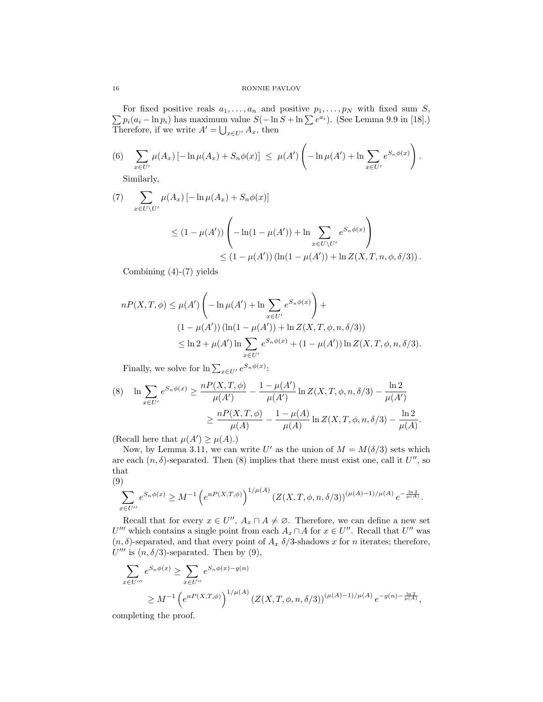$\sum p_i(a_i - \ln p_i)$  has maximum value  $S(-\ln S + \ln \sum e^{a_i})$ . (See Lemma 9.9 in [18].) For fixed positive reals  $a_1, \ldots, a_n$  and positive  $p_1, \ldots, p_N$  with fixed sum S, Therefore, if we write  $A' = \bigcup_{x \in U'} A_x$ , then

(6) 
$$
\sum_{x \in U'} \mu(A_x) \left[ -\ln \mu(A_x) + S_n \phi(x) \right] \le \mu(A') \left( -\ln \mu(A') + \ln \sum_{x \in U'} e^{S_n \phi(x)} \right).
$$

Similarly,

(7) 
$$
\sum_{x \in U \setminus U'} \mu(A_x) \left[ -\ln \mu(A_x) + S_n \phi(x) \right]
$$
  
\n
$$
\leq (1 - \mu(A')) \left( -\ln(1 - \mu(A')) + \ln \sum_{x \in U \setminus U'} e^{S_n \phi(x)} \right)
$$
  
\n
$$
\leq (1 - \mu(A')) \left( \ln(1 - \mu(A')) + \ln Z(X, T, n, \phi, \delta/3) \right).
$$

Combining  $(4)-(7)$  yields

$$
nP(X, T, \phi) \le \mu(A') \left( -\ln \mu(A') + \ln \sum_{x \in U'} e^{S_n \phi(x)} \right) +
$$
  
\n
$$
(1 - \mu(A')) (\ln(1 - \mu(A')) + \ln Z(X, T, \phi, n, \delta/3))
$$
  
\n
$$
\le \ln 2 + \mu(A') \ln \sum_{x \in U'} e^{S_n \phi(x)} + (1 - \mu(A')) \ln Z(X, T, \phi, n, \delta/3).
$$

Finally, we solve for  $\ln \sum_{x \in U'} e^{S_n \phi(x)}$ :

$$
(8) \quad \ln \sum_{x \in U'} e^{S_n \phi(x)} \ge \frac{nP(X, T, \phi)}{\mu(A')} - \frac{1 - \mu(A')}{\mu(A')} \ln Z(X, T, \phi, n, \delta/3) - \frac{\ln 2}{\mu(A')} \ge \frac{nP(X, T, \phi)}{\mu(A)} - \frac{1 - \mu(A)}{\mu(A)} \ln Z(X, T, \phi, n, \delta/3) - \frac{\ln 2}{\mu(A)}.
$$

(Recall here that  $\mu(A') \geq \mu(A)$ .)

Now, by Lemma 3.11, we can write U' as the union of  $M = M(\delta/3)$  sets which are each  $(n, \delta)$ -separated. Then  $(8)$  implies that there must exist one, call it  $U''$ , so that

$$
\left( 9\right)
$$

$$
\sum_{x \in U''} e^{S_n \phi(x)} \ge M^{-1} \left( e^{n(X,T,\phi)} \right)^{1/\mu(A)} \left( Z(X,T,\phi,n,\delta/3) \right)^{(\mu(A)-1)/\mu(A)} e^{-\frac{\ln 2}{\mu(A)}}.
$$

Recall that for every  $x \in U''$ ,  $A_x \cap A \neq \emptyset$ . Therefore, we can define a new set U''' which contains a single point from each  $A_x \cap A$  for  $x \in U''$ . Recall that U'' was  $(n, \delta)$ -separated, and that every point of  $A_x \delta/3$ -shadows x for n iterates; therefore,  $U'''$  is  $(n, \delta/3)$ -separated. Then by (9),

$$
\sum_{x \in U'''} e^{S_n \phi(x)} \ge \sum_{x \in U''} e^{S_n \phi(x) - g(n)} \n\ge M^{-1} \left( e^{nP(X,T,\phi)} \right)^{1/\mu(A)} \left( Z(X,T,\phi,n,\delta/3) \right)^{(\mu(A)-1)/\mu(A)} e^{-g(n) - \frac{\ln 2}{\mu(A)}},
$$

completing the proof.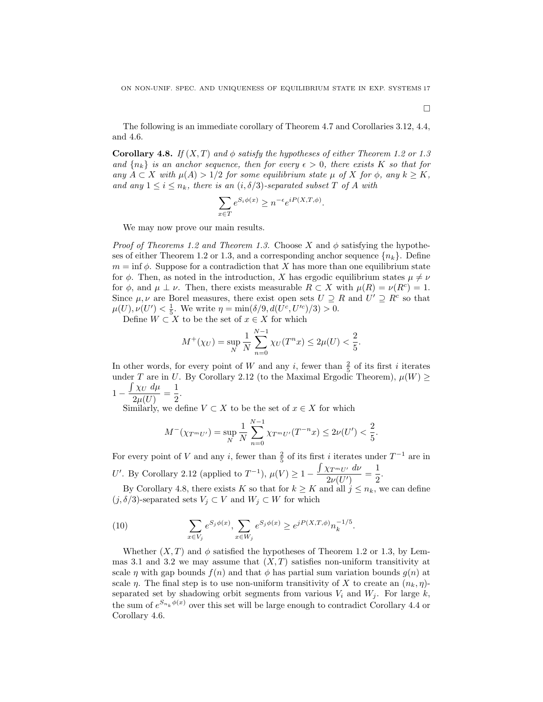The following is an immediate corollary of Theorem 4.7 and Corollaries 3.12, 4.4, and 4.6.

**Corollary 4.8.** If  $(X, T)$  and  $\phi$  satisfy the hypotheses of either Theorem 1.2 or 1.3 and  $\{n_k\}$  is an anchor sequence, then for every  $\epsilon > 0$ , there exists K so that for any  $A \subset X$  with  $\mu(A) > 1/2$  for some equilibrium state  $\mu$  of X for  $\phi$ , any  $k \geq K$ , and any  $1 \leq i \leq n_k$ , there is an  $(i, \delta/3)$ -separated subset T of A with

$$
\sum_{x \in T} e^{S_i \phi(x)} \ge n^{-\epsilon} e^{iP(X,T,\phi)}.
$$

We may now prove our main results.

*Proof of Theorems 1.2 and Theorem 1.3.* Choose X and  $\phi$  satisfying the hypotheses of either Theorem 1.2 or 1.3, and a corresponding anchor sequence  $\{n_k\}$ . Define  $m = \inf \phi$ . Suppose for a contradiction that X has more than one equilibrium state for  $\phi$ . Then, as noted in the introduction, X has ergodic equilibrium states  $\mu \neq \nu$ for  $\phi$ , and  $\mu \perp \nu$ . Then, there exists measurable  $R \subset X$  with  $\mu(R) = \nu(R^c) = 1$ . Since  $\mu, \nu$  are Borel measures, there exist open sets  $U \supseteq R$  and  $U' \supseteq R^c$  so that  $\mu(U), \nu(U') < \frac{1}{5}$ . We write  $\eta = \min(\delta/9, d(U^c, U'^c)/3) > 0$ .

Define  $W \subset X$  to be the set of  $x \in X$  for which

$$
M^{+}(\chi_{U}) = \sup_{N} \frac{1}{N} \sum_{n=0}^{N-1} \chi_{U}(T^{n}x) \le 2\mu(U) < \frac{2}{5}.
$$

In other words, for every point of W and any i, fewer than  $\frac{2}{5}$  of its first i iterates under T are in U. By Corollary 2.12 (to the Maximal Ergodic Theorem),  $\mu(W) \ge$  $1 - \frac{\int \chi_U d\mu}{2\pi}$  $\frac{\chi_U d\mu}{2\mu(U)} = \frac{1}{2}$  $\frac{1}{2}$ .

Similarly, we define  $V \subset X$  to be the set of  $x \in X$  for which

$$
M^{-}(\chi_{T^{m}U'}) = \sup_{N} \frac{1}{N} \sum_{n=0}^{N-1} \chi_{T^{m}U'}(T^{-n}x) \le 2\nu(U') < \frac{2}{5}.
$$

For every point of V and any i, fewer than  $\frac{2}{5}$  of its first i iterates under  $T^{-1}$  are in U'. By Corollary 2.12 (applied to  $T^{-1}$ ),  $\mu(V) \geq 1 - \frac{\int \chi_{T^m U'} dv}{2 \sqrt{2\pi} V}$  $\frac{\chi_{T^mU'}}{2\nu(U')}=\frac{1}{2}$  $\frac{1}{2}$ .

By Corollary 4.8, there exists K so that for  $k \geq K$  and all  $j \leq n_k$ , we can define  $(j, \delta/3)$ -separated sets  $V_j \subset V$  and  $W_j \subset W$  for which

(10) 
$$
\sum_{x \in V_j} e^{S_j \phi(x)}, \sum_{x \in W_j} e^{S_j \phi(x)} \ge e^{jP(X,T,\phi)} n_k^{-1/5}.
$$

Whether  $(X, T)$  and  $\phi$  satisfied the hypotheses of Theorem 1.2 or 1.3, by Lemmas 3.1 and 3.2 we may assume that  $(X, T)$  satisfies non-uniform transitivity at scale  $\eta$  with gap bounds  $f(n)$  and that  $\phi$  has partial sum variation bounds  $g(n)$  at scale  $\eta$ . The final step is to use non-uniform transitivity of X to create an  $(n_k, \eta)$ separated set by shadowing orbit segments from various  $V_i$  and  $W_j$ . For large k, the sum of  $e^{S_{n_k}\phi(x)}$  over this set will be large enough to contradict Corollary 4.4 or Corollary 4.6.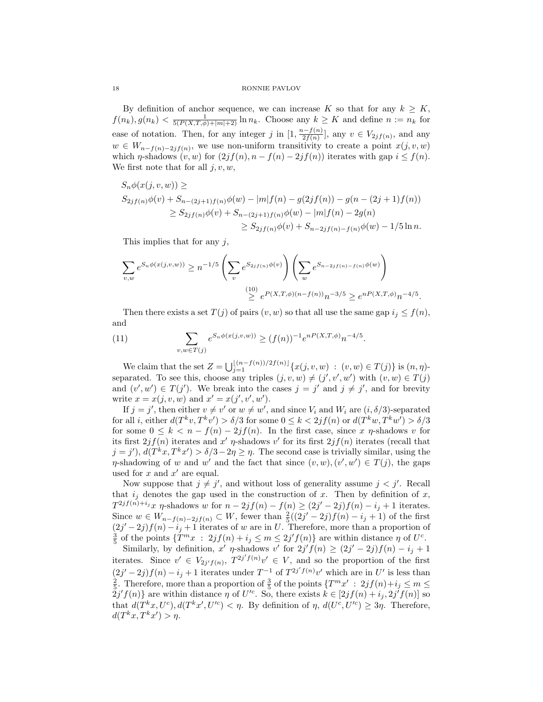By definition of anchor sequence, we can increase K so that for any  $k \geq K$ ,  $f(n_k), g(n_k) < \frac{1}{5(P(X,T,\phi)+|m|+2)} \ln n_k$ . Choose any  $k \geq K$  and define  $n := n_k$  for ease of notation. Then, for any integer j in  $[1, \frac{n-f(n)}{2f(n)}]$  $\frac{v_i-f(n)}{2f(n)}$ , any  $v \in V_{2jf(n)}$ , and any  $w \in W_{n-f(n)-2jf(n)}$ , we use non-uniform transitivity to create a point  $x(j, v, w)$ which  $\eta$ -shadows  $(v, w)$  for  $(2jf(n), n - f(n) - 2jf(n))$  iterates with gap  $i \leq f(n)$ . We first note that for all  $j, v, w$ ,

$$
S_n \phi(x(j, v, w)) \ge
$$
  
\n
$$
S_{2j} f(n) \phi(v) + S_{n-(2j+1)f(n)} \phi(w) - |m| f(n) - g(2jf(n)) - g(n - (2j+1)f(n))
$$
  
\n
$$
\ge S_{2j} f(n) \phi(v) + S_{n-(2j+1)f(n)} \phi(w) - |m| f(n) - 2g(n)
$$
  
\n
$$
\ge S_{2j f(n)} \phi(v) + S_{n-2j f(n)-f(n)} \phi(w) - 1/5 \ln n.
$$

This implies that for any  $j$ ,

$$
\sum_{v,w} e^{S_n \phi(x(j,v,w))} \ge n^{-1/5} \left( \sum_v e^{S_{2j} f(n) \phi(v)} \right) \left( \sum_w e^{S_{n-2j} f(n) - f(n) \phi(w)} \right)
$$
  

$$
\stackrel{(10)}{\ge} e^{P(X,T,\phi)(n-f(n))} n^{-3/5} \ge e^{nP(X,T,\phi)} n^{-4/5}
$$

Then there exists a set  $T(j)$  of pairs  $(v, w)$  so that all use the same gap  $i_j \leq f(n)$ , and

.

(11) 
$$
\sum_{v,w \in T(j)} e^{S_n \phi(x(j,v,w))} \ge (f(n))^{-1} e^{nP(X,T,\phi)} n^{-4/5}.
$$

We claim that the set  $Z = \bigcup_{j=1}^{\lfloor (n-f(n))/2f(n) \rfloor} \{x(j, v, w) : (v, w) \in T(j)\}$  is  $(n, \eta)$ separated. To see this, choose any triples  $(j, v, w) \neq (j', v', w')$  with  $(v, w) \in T(j)$ and  $(v', w') \in T(j')$ . We break into the cases  $j = j'$  and  $j \neq j'$ , and for brevity write  $x = x(j, v, w)$  and  $x' = x(j', v', w')$ .

If  $j = j'$ , then either  $v \neq v'$  or  $w \neq w'$ , and since  $V_i$  and  $W_i$  are  $(i, \delta/3)$ -separated for all *i*, either  $d(T^k v, T^k v') > \delta/3$  for some  $0 \le k < 2jf(n)$  or  $d(T^k w, T^k w') > \delta/3$ for some  $0 \leq k < n - f(n) - 2jf(n)$ . In the first case, since x  $\eta$ -shadows v for its first  $2jf(n)$  iterates and x'  $\eta$ -shadows v' for its first  $2jf(n)$  iterates (recall that  $j = j'$ ,  $d(T^kx, T^kx') > \delta/3 - 2\eta \geq \eta$ . The second case is trivially similar, using the  $\eta$ -shadowing of w and w' and the fact that since  $(v, w), (v', w') \in T(j)$ , the gaps used for  $x$  and  $x'$  are equal.

Now suppose that  $j \neq j'$ , and without loss of generality assume  $j < j'$ . Recall that  $i_j$  denotes the gap used in the construction of x. Then by definition of x,  $T^{2jf(n)+i_j}x$   $\eta$ -shadows w for  $n-2jf(n)-f(n) \geq (2j'-2j)f(n)-i_j+1$  iterates. Since  $w \in W_{n-f(n)-2jf(n)} \subset W$ , fewer than  $\frac{2}{5}((2j'-2j)f(n)-i_j+1)$  of the first  $(2j'-2j)f(n)-i_j+1$  iterates of w are in U. Therefore, more than a proportion of  $\frac{3}{5}$  of the points  $\{T^m x : 2jf(n) + i_j \leq m \leq 2j'f(n)\}$  are within distance  $\eta$  of  $U^c$ .

Similarly, by definition, x'  $\eta$ -shadows v' for  $2j'f(n) \geq (2j'-2j)f(n) - i_j + 1$ iterates. Since  $v' \in V_{2j'f(n)}, T^{2j'f(n)}v' \in V$ , and so the proportion of the first  $(2j'-2j)f(n)-i_j+1$  iterates under  $T^{-1}$  of  $T^{2j'f(n)}v'$  which are in U' is less than  $\frac{2}{5}$ . Therefore, more than a proportion of  $\frac{3}{5}$  of the points  $\{T^m x' \ : \ 2jf(n)+i_j \leq m \leq j_j\}$  $2j'f(n)$  are within distance  $\eta$  of  $U'^c$ . So, there exists  $k \in [2jf(n)+i_j, 2j'f(n)]$  so that  $d(T^kx, U^c), d(T^kx', U'^c) < \eta$ . By definition of  $\eta$ ,  $d(U^c, U'^c) \geq 3\eta$ . Therefore,  $d(T^kx, T^kx') > \eta.$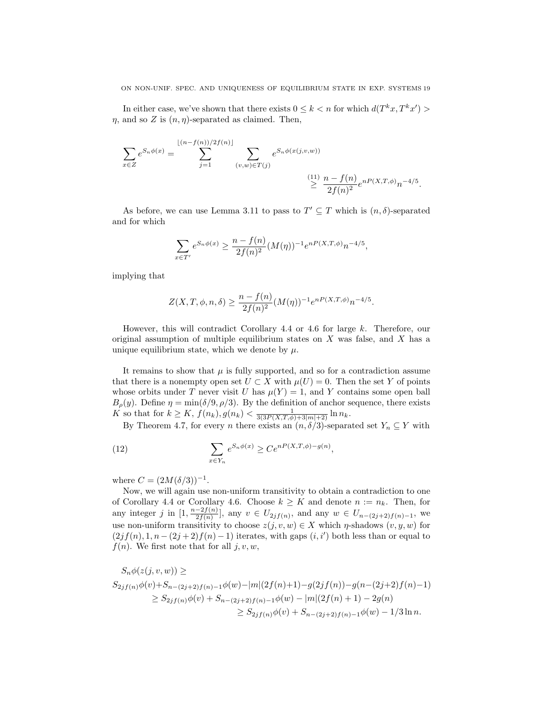In either case, we've shown that there exists  $0 \leq k < n$  for which  $d(T^k x, T^k x') >$  $\eta$ , and so Z is  $(n, \eta)$ -separated as claimed. Then,

$$
\sum_{x \in Z} e^{S_n \phi(x)} = \sum_{j=1}^{\lfloor (n-f(n))/2f(n) \rfloor} \sum_{(v,w) \in T(j)} e^{S_n \phi(x(j,v,w))}
$$
\n
$$
\stackrel{(11)}{\geq} \frac{n - f(n)}{2f(n)^2} e^{nP(X,T,\phi)} n^{-4/5}.
$$

As before, we can use Lemma 3.11 to pass to  $T' \subseteq T$  which is  $(n, \delta)$ -separated and for which

$$
\sum_{x \in T'} e^{S_n \phi(x)} \ge \frac{n - f(n)}{2f(n)^2} (M(\eta))^{-1} e^{n P(X, T, \phi)} n^{-4/5},
$$

implying that

$$
Z(X, T, \phi, n, \delta) \ge \frac{n - f(n)}{2f(n)^2} (M(\eta))^{-1} e^{n P(X, T, \phi)} n^{-4/5}.
$$

However, this will contradict Corollary 4.4 or 4.6 for large k. Therefore, our original assumption of multiple equilibrium states on  $X$  was false, and  $X$  has a unique equilibrium state, which we denote by  $\mu$ .

It remains to show that  $\mu$  is fully supported, and so for a contradiction assume that there is a nonempty open set  $U \subset X$  with  $\mu(U) = 0$ . Then the set Y of points whose orbits under T never visit U has  $\mu(Y) = 1$ , and Y contains some open ball  $B_{\rho}(y)$ . Define  $\eta = \min(\delta/9, \rho/3)$ . By the definition of anchor sequence, there exists K so that for  $k \ge K$ ,  $f(n_k)$ ,  $g(n_k) < \frac{1}{3(3P(X,T,\phi)+3|m|+2)} \ln n_k$ .

By Theorem 4.7, for every *n* there exists an  $(n, \delta/3)$ -separated set  $Y_n \subseteq Y$  with

(12) 
$$
\sum_{x \in Y_n} e^{S_n \phi(x)} \ge Ce^{nP(X,T,\phi) - g(n)},
$$

where  $C = (2M(\delta/3))^{-1}$ .

Now, we will again use non-uniform transitivity to obtain a contradiction to one of Corollary 4.4 or Corollary 4.6. Choose  $k \geq K$  and denote  $n := n_k$ . Then, for any integer j in  $[1, \frac{n-2f(n)}{2f(n)}]$  $\frac{-2f(n)}{2f(n)}$ , any  $v \in U_{2jf(n)}$ , and any  $w \in U_{n-(2j+2)f(n)-1}$ , we use non-uniform transitivity to choose  $z(j, v, w) \in X$  which  $\eta$ -shadows  $(v, y, w)$  for  $(2jf(n), 1, n-(2j+2)f(n)-1)$  iterates, with gaps  $(i, i')$  both less than or equal to  $f(n)$ . We first note that for all  $j, v, w$ ,

$$
S_n \phi(z(j, v, w)) \ge
$$
  
\n
$$
S_{2j} f(n) \phi(v) + S_{n-(2j+2)f(n)-1} \phi(w) - |m|(2f(n)+1) - g(2jf(n)) - g(n-(2j+2)f(n)-1)
$$
  
\n
$$
\ge S_{2j} f(n) \phi(v) + S_{n-(2j+2)f(n)-1} \phi(w) - |m|(2f(n)+1) - 2g(n)
$$
  
\n
$$
\ge S_{2j} f(n) \phi(v) + S_{n-(2j+2)f(n)-1} \phi(w) - 1/3 \ln n.
$$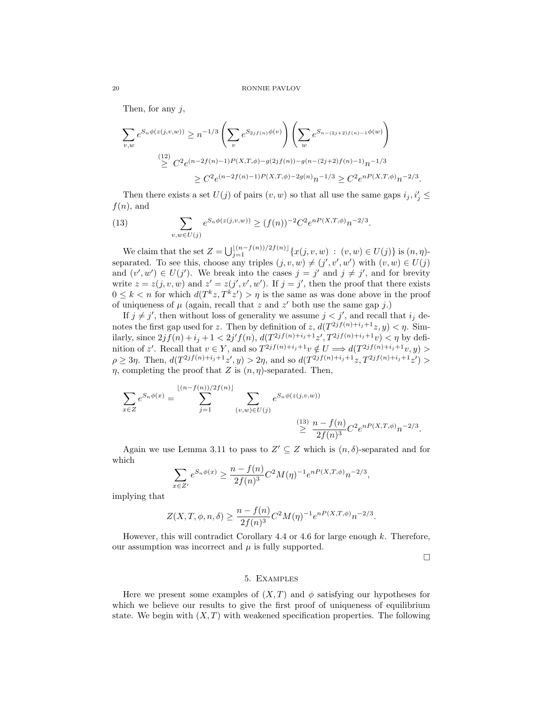Then, for any  $j$ ,

$$
\sum_{v,w} e^{S_n \phi(z(j,v,w))} \ge n^{-1/3} \left( \sum_v e^{S_{2j}f(n)\phi(v)} \right) \left( \sum_w e^{S_{n-(2j+2)f(n)-1}\phi(w)} \right)
$$
  

$$
\stackrel{(12)}{\ge} C^2 e^{(n-2f(n)-1)P(X,T,\phi)-g(2jf(n))-g(n-(2j+2)f(n)-1)} n^{-1/3}
$$
  

$$
\ge C^2 e^{(n-2f(n)-1)P(X,T,\phi)-2g(n)} n^{-1/3} \ge C^2 e^{nP(X,T,\phi)} n^{-2/3}.
$$

Then there exists a set  $U(j)$  of pairs  $(v, w)$  so that all use the same gaps  $i_j, i'_j \leq$  $f(n)$ , and

(13) 
$$
\sum_{v,w \in U(j)} e^{S_n \phi(z(j,v,w))} \ge (f(n))^{-2} C^2 e^{nP(X,T,\phi)} n^{-2/3}.
$$

We claim that the set  $Z = \bigcup_{j=1}^{\lfloor (n-f(n))/2f(n) \rfloor} \{x(j, v, w) : (v, w) \in U(j)\}$  is  $(n, \eta)$ separated. To see this, choose any triples  $(j, v, w) \neq (j', v', w')$  with  $(v, w) \in U(j)$ and  $(v', w') \in U(j')$ . We break into the cases  $j = j'$  and  $j \neq j'$ , and for brevity write  $z = z(j, v, w)$  and  $z' = z(j', v', w')$ . If  $j = j'$ , then the proof that there exists  $0 \leq k < n$  for which  $d(T^k z, T^k z') > n$  is the same as was done above in the proof of uniqueness of  $\mu$  (again, recall that z and z' both use the same gap j.)

If  $j \neq j'$ , then without loss of generality we assume  $j < j'$ , and recall that  $i_j$  denotes the first gap used for z. Then by definition of  $z$ ,  $d(T^{2jf(n)+i_j+1}z, y) < \eta$ . Similarly, since  $2jf(n)+i_j+1<2j'f(n)$ ,  $d(T^{2jf(n)+i_j+1}z', T^{2jf(n)+i_j+1}v)<\eta$  by definition of z'. Recall that  $v \in Y$ , and so  $T^{2jf(n)+i_j+1}v \notin U \Longrightarrow d(T^{2jf(n)+i_j+1}v, y) >$  $\rho \geq 3\eta$ . Then,  $d(T^{2jf(n)+i_j+1}z', y) > 2\eta$ , and so  $d(T^{2jf(n)+i_j+1}z, T^{2jf(n)+i_j+1}z') >$  $\eta$ , completing the proof that Z is  $(n, \eta)$ -separated. Then,

$$
\sum_{x \in Z} e^{S_n \phi(x)} = \sum_{j=1}^{\lfloor (n-f(n))/2f(n) \rfloor} \sum_{(v,w) \in U(j)} e^{S_n \phi(z(j,v,w))}
$$
\n
$$
\stackrel{(13)}{\geq} \frac{n - f(n)}{2f(n)^3} C^2 e^{nP(X,T,\phi)} n^{-2/3}.
$$

Again we use Lemma 3.11 to pass to  $Z' \subseteq Z$  which is  $(n, \delta)$ -separated and for which

$$
\sum_{x \in Z'} e^{S_n \phi(x)} \ge \frac{n - f(n)}{2f(n)^3} C^2 M(\eta)^{-1} e^{n P(X, T, \phi)} n^{-2/3},
$$

implying that

$$
Z(X, T, \phi, n, \delta) \ge \frac{n - f(n)}{2f(n)^3} C^2 M(\eta)^{-1} e^{n P(X, T, \phi)} n^{-2/3}.
$$

However, this will contradict Corollary  $4.4$  or  $4.6$  for large enough k. Therefore, our assumption was incorrect and  $\mu$  is fully supported.

 $\Box$ 

### 5. Examples

Here we present some examples of  $(X, T)$  and  $\phi$  satisfying our hypotheses for which we believe our results to give the first proof of uniqueness of equilibrium state. We begin with  $(X, T)$  with weakened specification properties. The following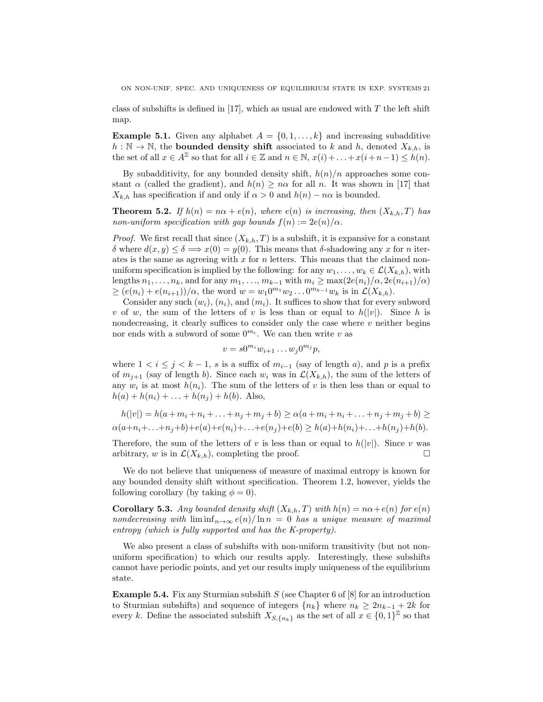class of subshifts is defined in [17], which as usual are endowed with  $T$  the left shift map.

**Example 5.1.** Given any alphabet  $A = \{0, 1, \ldots, k\}$  and increasing subadditive  $h : \mathbb{N} \to \mathbb{N}$ , the **bounded density shift** associated to k and h, denoted  $X_{k,h}$ , is the set of all  $x \in A^{\mathbb{Z}}$  so that for all  $i \in \mathbb{Z}$  and  $n \in \mathbb{N}$ ,  $x(i) + \ldots + x(i+n-1) \leq h(n)$ .

By subadditivity, for any bounded density shift,  $h(n)/n$  approaches some constant  $\alpha$  (called the gradient), and  $h(n) \geq n\alpha$  for all n. It was shown in [17] that  $X_{k,h}$  has specification if and only if  $\alpha > 0$  and  $h(n) - n\alpha$  is bounded.

**Theorem 5.2.** If  $h(n) = n\alpha + e(n)$ , where  $e(n)$  is increasing, then  $(X_{k,h},T)$  has non-uniform specification with gap bounds  $f(n) := 2e(n)/\alpha$ .

*Proof.* We first recall that since  $(X_{k,h}, T)$  is a subshift, it is expansive for a constant δ where  $d(x, y) \leq \delta \implies x(0) = y(0)$ . This means that δ-shadowing any x for n iterates is the same as agreeing with  $x$  for  $n$  letters. This means that the claimed nonuniform specification is implied by the following: for any  $w_1, \ldots, w_k \in \mathcal{L}(X_{k,h})$ , with lengths  $n_1, \ldots, n_k$ , and for any  $m_1, \ldots, m_{k-1}$  with  $m_i \ge \max(2e(n_i)/\alpha, 2e(n_{i+1})/\alpha)$  $\geq (e(n_i) + e(n_{i+1}))/\alpha$ , the word  $w = w_1 0^{m_1} w_2 ... 0^{m_{k-1}} w_k$  is in  $\mathcal{L}(X_{k,h})$ .

Consider any such  $(w_i)$ ,  $(n_i)$ , and  $(m_i)$ . It suffices to show that for every subword v of w, the sum of the letters of v is less than or equal to  $h(|v|)$ . Since h is nondecreasing, it clearly suffices to consider only the case where  $v$  neither begins nor ends with a subword of some  $0^{m_i}$ . We can then write v as

$$
v = s0^{m_i}w_{i+1}\dots w_j0^{m_j}p,
$$

where  $1 < i \le j < k-1$ , s is a suffix of  $m_{i-1}$  (say of length a), and p is a prefix of  $m_{j+1}$  (say of length b). Since each  $w_i$  was in  $\mathcal{L}(X_{k,h})$ , the sum of the letters of any  $w_i$  is at most  $h(n_i)$ . The sum of the letters of v is then less than or equal to  $h(a) + h(n_i) + \ldots + h(n_j) + h(b)$ . Also,

$$
h(|v|) = h(a + m_i + n_i + \dots + n_j + m_j + b) \ge \alpha(a + m_i + n_i + \dots + n_j + m_j + b) \ge
$$
  

$$
\alpha(a + n_i + \dots + n_j + b) + e(a) + e(n_i) + \dots + e(n_j) + e(b) \ge h(a) + h(n_i) + \dots + h(n_j) + h(b).
$$

Therefore, the sum of the letters of v is less than or equal to  $h(|v|)$ . Since v was arbitrary, w is in  $\mathcal{L}(X_{k,h})$ , completing the proof.

We do not believe that uniqueness of measure of maximal entropy is known for any bounded density shift without specification. Theorem 1.2, however, yields the following corollary (by taking  $\phi = 0$ ).

**Corollary 5.3.** Any bounded density shift  $(X_{k,h}, T)$  with  $h(n) = n\alpha + e(n)$  for  $e(n)$ nondecreasing with  $\liminf_{n\to\infty}e(n)/\ln n = 0$  has a unique measure of maximal entropy (which is fully supported and has the K-property).

We also present a class of subshifts with non-uniform transitivity (but not nonuniform specification) to which our results apply. Interestingly, these subshifts cannot have periodic points, and yet our results imply uniqueness of the equilibrium state.

**Example 5.4.** Fix any Sturmian subshift S (see Chapter 6 of  $[8]$  for an introduction to Sturmian subshifts) and sequence of integers  ${n_k}$  where  $n_k \geq 2n_{k-1} + 2k$  for every k. Define the associated subshift  $X_{S,\{n_k\}}$  as the set of all  $x \in \{0,1\}^{\mathbb{Z}}$  so that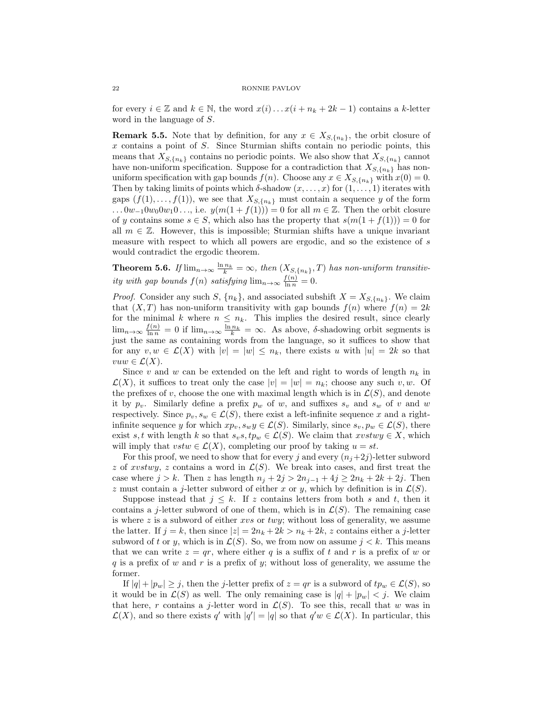for every  $i \in \mathbb{Z}$  and  $k \in \mathbb{N}$ , the word  $x(i) \dots x(i + n_k + 2k - 1)$  contains a k-letter word in the language of S.

**Remark 5.5.** Note that by definition, for any  $x \in X_{S,\lbrace n_k \rbrace}$ , the orbit closure of x contains a point of S. Since Sturmian shifts contain no periodic points, this means that  $X_{S,\{n_k\}}$  contains no periodic points. We also show that  $X_{S,\{n_k\}}$  cannot have non-uniform specification. Suppose for a contradiction that  $X_{S,\{n_k\}}$  has nonuniform specification with gap bounds  $f(n)$ . Choose any  $x \in X_{S,\{n_k\}}$  with  $x(0) = 0$ . Then by taking limits of points which  $\delta$ -shadow  $(x, \ldots, x)$  for  $(1, \ldots, 1)$  iterates with gaps  $(f(1),..., f(1))$ , we see that  $X_{S,\lbrace n_k \rbrace}$  must contain a sequence y of the form  $\dots 0w_{-1}0w_00w_10\dots$ , i.e.  $y(m(1+f(1)))=0$  for all  $m\in\mathbb{Z}$ . Then the orbit closure of y contains some  $s \in S$ , which also has the property that  $s(m(1 + f(1))) = 0$  for all  $m \in \mathbb{Z}$ . However, this is impossible; Sturmian shifts have a unique invariant measure with respect to which all powers are ergodic, and so the existence of s would contradict the ergodic theorem.

**Theorem 5.6.** If  $\lim_{n\to\infty} \frac{\ln n_k}{k} = \infty$ , then  $(X_{S,\{n_k\}}, T)$  has non-uniform transitivity with gap bounds  $f(n)$  satisfying  $\lim_{n\to\infty} \frac{f(n)}{\ln n} = 0$ .

*Proof.* Consider any such S,  $\{n_k\}$ , and associated subshift  $X = X_{S,\{n_k\}}$ . We claim that  $(X, T)$  has non-uniform transitivity with gap bounds  $f(n)$  where  $f(n) = 2k$ for the minimal k where  $n \leq n_k$ . This implies the desired result, since clearly  $\lim_{n\to\infty}\frac{f(n)}{\ln n}=0$  if  $\lim_{n\to\infty}\frac{\ln n_k}{k}=\infty$ . As above,  $\delta$ -shadowing orbit segments is just the same as containing words from the language, so it suffices to show that for any  $v, w \in \mathcal{L}(X)$  with  $|v| = |w| \leq n_k$ , there exists u with  $|u| = 2k$  so that  $vuw \in \mathcal{L}(X)$ .

Since v and w can be extended on the left and right to words of length  $n_k$  in  $\mathcal{L}(X)$ , it suffices to treat only the case  $|v| = |w| = n_k$ ; choose any such v, w. Of the prefixes of v, choose the one with maximal length which is in  $\mathcal{L}(S)$ , and denote it by  $p_v$ . Similarly define a prefix  $p_w$  of w, and suffixes  $s_v$  and  $s_w$  of v and w respectively. Since  $p_v, s_w \in \mathcal{L}(S)$ , there exist a left-infinite sequence x and a rightinfinite sequence y for which  $xp_v, s_wy \in \mathcal{L}(S)$ . Similarly, since  $s_v, p_w \in \mathcal{L}(S)$ , there exist s, t with length k so that  $s_v s, tp_w \in \mathcal{L}(S)$ . We claim that  $xvstwy \in X$ , which will imply that  $vstw \in \mathcal{L}(X)$ , completing our proof by taking  $u = st$ .

For this proof, we need to show that for every j and every  $(n_i+2j)$ -letter subword z of xvstwy, z contains a word in  $\mathcal{L}(S)$ . We break into cases, and first treat the case where  $j > k$ . Then z has length  $n_j + 2j > 2n_{j-1} + 4j \geq 2n_k + 2k + 2j$ . Then z must contain a j-letter subword of either x or y, which by definition is in  $\mathcal{L}(S)$ .

Suppose instead that  $j \leq k$ . If z contains letters from both s and t, then it contains a j-letter subword of one of them, which is in  $\mathcal{L}(S)$ . The remaining case is where  $z$  is a subword of either  $xvs$  or  $twy$ ; without loss of generality, we assume the latter. If  $j = k$ , then since  $|z| = 2n_k + 2k > n_k + 2k$ , z contains either a j-letter subword of t or y, which is in  $\mathcal{L}(S)$ . So, we from now on assume  $j < k$ . This means that we can write  $z = qr$ , where either q is a suffix of t and r is a prefix of w or q is a prefix of w and r is a prefix of y; without loss of generality, we assume the former.

If  $|q| + |p_w| \geq j$ , then the j-letter prefix of  $z = qr$  is a subword of  $tp_w \in \mathcal{L}(S)$ , so it would be in  $\mathcal{L}(S)$  as well. The only remaining case is  $|q| + |p_w| < j$ . We claim that here, r contains a j-letter word in  $\mathcal{L}(S)$ . To see this, recall that w was in  $\mathcal{L}(X)$ , and so there exists q' with  $|q'| = |q|$  so that  $q'w \in \mathcal{L}(X)$ . In particular, this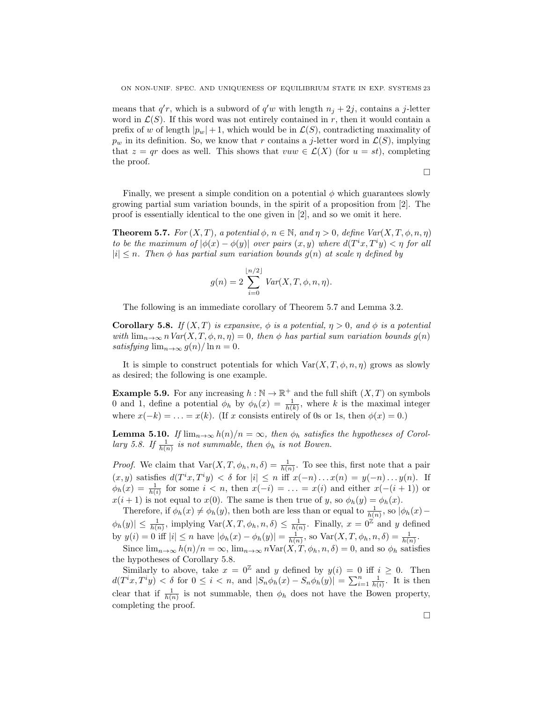means that  $q'r$ , which is a subword of  $q'w$  with length  $n_j + 2j$ , contains a j-letter word in  $\mathcal{L}(S)$ . If this word was not entirely contained in r, then it would contain a prefix of w of length  $|p_w|+1$ , which would be in  $\mathcal{L}(S)$ , contradicting maximality of  $p_w$  in its definition. So, we know that r contains a j-letter word in  $\mathcal{L}(S)$ , implying that  $z = qr$  does as well. This shows that  $vuw \in \mathcal{L}(X)$  (for  $u = st$ ), completing the proof.

$$
\Box
$$

Finally, we present a simple condition on a potential  $\phi$  which guarantees slowly growing partial sum variation bounds, in the spirit of a proposition from [2]. The proof is essentially identical to the one given in [2], and so we omit it here.

**Theorem 5.7.** For  $(X, T)$ , a potential  $\phi$ ,  $n \in \mathbb{N}$ , and  $\eta > 0$ , define  $Var(X, T, \phi, n, \eta)$ to be the maximum of  $|\phi(x) - \phi(y)|$  over pairs  $(x, y)$  where  $d(T^i x, T^i y) < \eta$  for all  $|i| \leq n$ . Then  $\phi$  has partial sum variation bounds  $g(n)$  at scale  $\eta$  defined by

$$
g(n) = 2 \sum_{i=0}^{\lfloor n/2 \rfloor} Var(X, T, \phi, n, \eta).
$$

The following is an immediate corollary of Theorem 5.7 and Lemma 3.2.

Corollary 5.8. If  $(X, T)$  is expansive,  $\phi$  is a potential,  $\eta > 0$ , and  $\phi$  is a potential with  $\lim_{n\to\infty} n \text{Var}(X,T,\phi,n,\eta) = 0$ , then  $\phi$  has partial sum variation bounds  $g(n)$ satisfying  $\lim_{n\to\infty} g(n)/\ln n = 0$ .

It is simple to construct potentials for which  $\text{Var}(X, T, \phi, n, \eta)$  grows as slowly as desired; the following is one example.

**Example 5.9.** For any increasing  $h : \mathbb{N} \to \mathbb{R}^+$  and the full shift  $(X, T)$  on symbols 0 and 1, define a potential  $\phi_h$  by  $\phi_h(x) = \frac{1}{h(k)}$ , where k is the maximal integer where  $x(-k) = \ldots = x(k)$ . (If x consists entirely of 0s or 1s, then  $\phi(x) = 0$ .)

**Lemma 5.10.** If  $\lim_{n\to\infty} h(n)/n = \infty$ , then  $\phi_h$  satisfies the hypotheses of Corollary 5.8. If  $\frac{1}{h(n)}$  is not summable, then  $\phi_h$  is not Bowen.

*Proof.* We claim that  $Var(X, T, \phi_h, n, \delta) = \frac{1}{h(n)}$ . To see this, first note that a pair  $(x, y)$  satisfies  $d(T^i x, T^i y) < \delta$  for  $|i| \leq n$  iff  $x(-n) \dots x(n) = y(-n) \dots y(n)$ . If  $\phi_h(x) = \frac{1}{h(i)}$  for some  $i < n$ , then  $x(-i) = \ldots = x(i)$  and either  $x(-(i+1))$  or  $x(i + 1)$  is not equal to  $x(0)$ . The same is then true of y, so  $\phi_h(y) = \phi_h(x)$ .

Therefore, if  $\phi_h(x) \neq \phi_h(y)$ , then both are less than or equal to  $\frac{1}{h(n)}$ , so  $|\phi_h(x) \phi_h(y) \leq \frac{1}{h(n)}$ , implying  $\text{Var}(X, T, \phi_h, n, \delta) \leq \frac{1}{h(n)}$ . Finally,  $x = 0^{\mathbb{Z}}$  and y defined by  $y(i) = 0$  iff  $|i| \le n$  have  $|\phi_h(x) - \phi_h(y)| = \frac{1}{h(n)}$ , so  $\text{Var}(X, T, \phi_h, n, \delta) = \frac{1}{h(n)}$ .

Since  $\lim_{n\to\infty} h(n)/n = \infty$ ,  $\lim_{n\to\infty} n\text{Var}(X, T, \phi_h, n, \delta) = 0$ , and so  $\phi_h$  satisfies the hypotheses of Corollary 5.8.

Similarly to above, take  $x = 0^{\mathbb{Z}}$  and y defined by  $y(i) = 0$  iff  $i \geq 0$ . Then  $d(T^ix, T^iy) < \delta$  for  $0 \leq i < n$ , and  $|S_n \phi_h(x) - S_n \phi_h(y)| = \sum_{i=1}^n \frac{1}{h(i)}$ . It is then clear that if  $\frac{1}{h(n)}$  is not summable, then  $\phi_h$  does not have the Bowen property, completing the proof.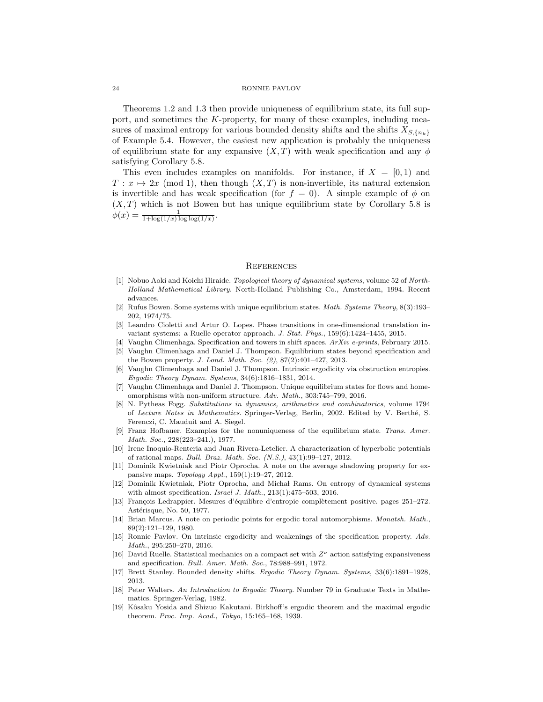Theorems 1.2 and 1.3 then provide uniqueness of equilibrium state, its full support, and sometimes the K-property, for many of these examples, including measures of maximal entropy for various bounded density shifts and the shifts  $X_{S,\{n_k\}}$ of Example 5.4. However, the easiest new application is probably the uniqueness of equilibrium state for any expansive  $(X, T)$  with weak specification and any  $\phi$ satisfying Corollary 5.8.

This even includes examples on manifolds. For instance, if  $X = [0, 1)$  and  $T: x \mapsto 2x \pmod{1}$ , then though  $(X, T)$  is non-invertible, its natural extension is invertible and has weak specification (for  $f = 0$ ). A simple example of  $\phi$  on  $(X, T)$  which is not Bowen but has unique equilibrium state by Corollary 5.8 is  $\phi(x) = \frac{1}{1 + \log(1/x) \log \log(1/x)}.$ 

### **REFERENCES**

- [1] Nobuo Aoki and Koichi Hiraide. Topological theory of dynamical systems, volume 52 of North-Holland Mathematical Library. North-Holland Publishing Co., Amsterdam, 1994. Recent advances.
- [2] Rufus Bowen. Some systems with unique equilibrium states. Math. Systems Theory, 8(3):193– 202, 1974/75.
- [3] Leandro Cioletti and Artur O. Lopes. Phase transitions in one-dimensional translation invariant systems: a Ruelle operator approach. J. Stat. Phys., 159(6):1424–1455, 2015.
- [4] Vaughn Climenhaga. Specification and towers in shift spaces. ArXiv e-prints, February 2015. [5] Vaughn Climenhaga and Daniel J. Thompson. Equilibrium states beyond specification and

the Bowen property. J. Lond. Math. Soc. (2), 87(2):401–427, 2013.

- [6] Vaughn Climenhaga and Daniel J. Thompson. Intrinsic ergodicity via obstruction entropies. Ergodic Theory Dynam. Systems, 34(6):1816–1831, 2014.
- [7] Vaughn Climenhaga and Daniel J. Thompson. Unique equilibrium states for flows and homeomorphisms with non-uniform structure. Adv. Math., 303:745–799, 2016.
- [8] N. Pytheas Fogg. Substitutions in dynamics, arithmetics and combinatorics, volume 1794 of Lecture Notes in Mathematics. Springer-Verlag, Berlin, 2002. Edited by V. Berthé, S. Ferenczi, C. Mauduit and A. Siegel.
- [9] Franz Hofbauer. Examples for the nonuniqueness of the equilibrium state. Trans. Amer. Math. Soc., 228(223–241.), 1977.
- [10] Irene Inoquio-Renteria and Juan Rivera-Letelier. A characterization of hyperbolic potentials of rational maps. Bull. Braz. Math. Soc. (N.S.), 43(1):99–127, 2012.
- [11] Dominik Kwietniak and Piotr Oprocha. A note on the average shadowing property for expansive maps. Topology Appl., 159(1):19–27, 2012.
- [12] Dominik Kwietniak, Piotr Oprocha, and Micha l Rams. On entropy of dynamical systems with almost specification. Israel J. Math., 213(1):475–503, 2016.
- [13] François Ledrappier. Mesures d'équilibre d'entropie complètement positive. pages 251–272. Astérisque, No. 50, 1977.
- [14] Brian Marcus. A note on periodic points for ergodic toral automorphisms. *Monatsh. Math.*, 89(2):121–129, 1980.
- [15] Ronnie Pavlov. On intrinsic ergodicity and weakenings of the specification property. Adv. Math., 295:250–270, 2016.
- [16] David Ruelle. Statistical mechanics on a compact set with  $Z^{\nu}$  action satisfying expansiveness and specification. Bull. Amer. Math. Soc., 78:988–991, 1972.
- [17] Brett Stanley. Bounded density shifts. Ergodic Theory Dynam. Systems, 33(6):1891–1928, 2013.
- [18] Peter Walters. An Introduction to Ergodic Theory. Number 79 in Graduate Texts in Mathematics. Springer-Verlag, 1982.
- [19] Kˆosaku Yosida and Shizuo Kakutani. Birkhoff's ergodic theorem and the maximal ergodic theorem. Proc. Imp. Acad., Tokyo, 15:165–168, 1939.